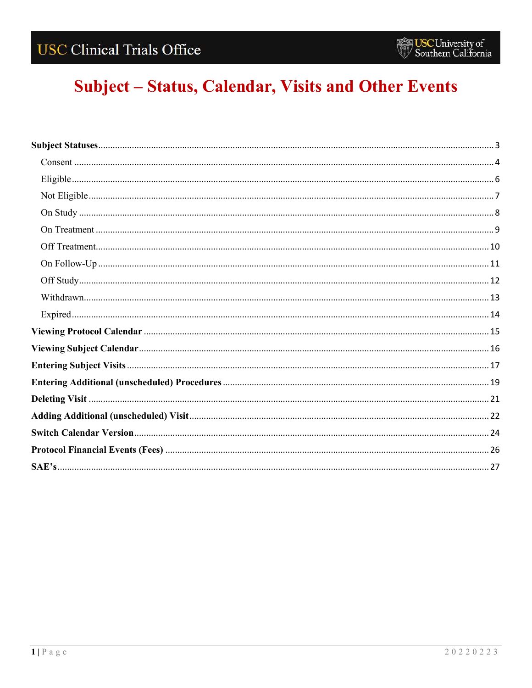# Subject - Status, Calendar, Visits and Other Events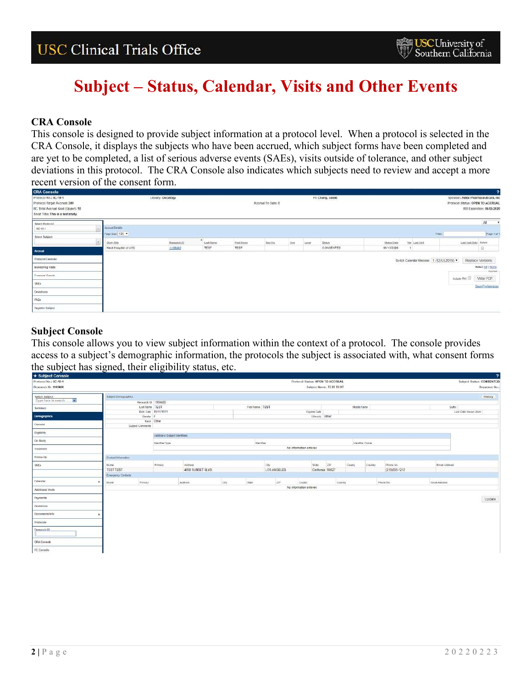### **CRA Console**

This console is designed to provide subject information at a protocol level. When a protocol is selected in the CRA Console, it displays the subjects who have been accrued, which subject forms have been completed and are yet to be completed, a list of serious adverse events (SAEs), visits outside of tolerance, and other subject deviations in this protocol. The CRA Console also indicates which subjects need to review and accept a more recent version of the consent form.

| <b>CRA Console</b>                                                                                                               |                                           |                   |                |            |                    |     |       |                   |             |                                            |                                                                          |                             |
|----------------------------------------------------------------------------------------------------------------------------------|-------------------------------------------|-------------------|----------------|------------|--------------------|-----|-------|-------------------|-------------|--------------------------------------------|--------------------------------------------------------------------------|-----------------------------|
| Protocol No.: 0C-19-1<br>Protocol Target Accruai: 300<br>RC Total Accrual Goal (Upper): 10<br>Short Title: This is a fest study. |                                           | Library: Oncology |                |            | Accrual To Date: 0 |     |       | Pl: Chung, Leslie |             |                                            | Sponsor: Astex Pharmaceuticals, Inc.<br>Protocol Status: OPEN TO ACCRUAL | IRB Expiration: 06/05/2020  |
| Select Protocol<br>4C-19-1<br>Select Subject                                                                                     | <b>Account Details</b><br>Foge Size 100 . |                   |                |            |                    |     |       |                   |             | Fitter                                     | All<br>$\mathbf{v}$<br>Page 1 of 1                                       |                             |
|                                                                                                                                  | Study Sile                                | Research (C)      | ۰<br>Last Name | First Name | Seq No.            | Aim | Level | Status            | Status Date | Ver Last Vist                              | Last Visit Date Select                                                   |                             |
| Accrual                                                                                                                          | Keck Hospital of USC                      | 1169480           | TEST           | TEST       |                    |     |       | CONSENTED         | 05/13/2020  |                                            |                                                                          | 日                           |
| Protocol Calandar                                                                                                                |                                           |                   |                |            |                    |     |       |                   |             | Switch Calendar Versions   1 (12JUL2019) * |                                                                          | Replace Versions            |
| Monitoring Visits                                                                                                                |                                           |                   |                |            |                    |     |       |                   |             |                                            |                                                                          | Salact All   None<br>Abreal |
| Financial Events                                                                                                                 |                                           |                   |                |            |                    |     |       |                   |             |                                            | Include PHI                                                              | View PDF                    |
| <b>SAEs</b>                                                                                                                      |                                           |                   |                |            |                    |     |       |                   |             |                                            |                                                                          | <b>Save Preferences</b>     |
| <b>Eleviations</b>                                                                                                               |                                           |                   |                |            |                    |     |       |                   |             |                                            |                                                                          |                             |
| FAQ's                                                                                                                            |                                           |                   |                |            |                    |     |       |                   |             |                                            |                                                                          |                             |
| Register Subject                                                                                                                 |                                           |                   |                |            |                    |     |       |                   |             |                                            |                                                                          |                             |

### **Subject Console**

This console allows you to view subject information within the context of a protocol. The console provides access to a subject's demographic information, the protocols the subject is associated with, what consent forms the subject has signed, their eligibility status, etc.

| * Subject Console     |                       |                         |                                |                   |      |                   |             |                                  |                         |             |                  |                                  |                |                       | $\overline{\mathbf{r}}$   |
|-----------------------|-----------------------|-------------------------|--------------------------------|-------------------|------|-------------------|-------------|----------------------------------|-------------------------|-------------|------------------|----------------------------------|----------------|-----------------------|---------------------------|
| Protocol No.: 0C-19-1 |                       |                         |                                |                   |      |                   |             | Protocol Status: OPEN TO ACCRUAL |                         |             |                  |                                  |                |                       | Subject Status: CONSENTED |
| Research (D: 1169480) |                       |                         |                                |                   |      |                   |             |                                  | Subject Name: TEST TEST |             |                  |                                  |                |                       | Sequence No.:             |
| Switch Subject        | Subject Derrographics |                         |                                |                   |      |                   |             |                                  |                         |             |                  |                                  |                |                       | History                   |
| Type here to search * |                       | Recearch (D 1169480)    |                                |                   |      |                   |             |                                  |                         |             |                  |                                  |                |                       |                           |
| Summary               |                       | Last Name TEST          |                                |                   |      | First Name TEST   |             |                                  |                         | Middle Name |                  |                                  |                | Suffer                |                           |
|                       |                       | Birth Date 11/11/1911   |                                |                   |      |                   |             | Expired Date                     |                         |             |                  |                                  |                | Last Date Known Alive |                           |
| Demographics          |                       | Gentler F<br>Race Other |                                |                   |      |                   |             |                                  | Ellmark Other           |             |                  |                                  |                |                       |                           |
| Conseit               |                       | Subject Comments        |                                |                   |      |                   |             |                                  |                         |             |                  |                                  |                |                       |                           |
| Enginity              |                       |                         | Additional Subject Identifiers |                   |      |                   |             |                                  |                         |             |                  |                                  |                |                       |                           |
| On Study              |                       |                         | Identifier Type:               |                   |      | <b>Identifier</b> |             |                                  |                         |             | Identifer Overer |                                  |                |                       |                           |
| Treatment             |                       |                         |                                |                   |      |                   |             | No information entered           |                         |             |                  |                                  |                |                       |                           |
| Follow Up:            | Contest Information   |                         |                                |                   |      |                   |             |                                  |                         |             |                  |                                  |                |                       |                           |
| SAEs                  | ltame.                |                         | Primary:                       | Address           |      |                   | cay         | State                            | 20                      | County      | Country          | Phone No.                        | Entail Address |                       |                           |
|                       | <b>TEST TEST</b>      |                         |                                | 4850 SUNSET BLVD. |      |                   | LOS ANGELES |                                  | California 90027        |             |                  | (213)555-1212                    |                |                       |                           |
|                       | Emergency Contacts    |                         |                                |                   |      |                   |             |                                  |                         |             |                  |                                  |                |                       |                           |
| Calendar              | tiame                 | Printer                 |                                | Address           | cey. | State             | zie.        | County                           |                         | Country     |                  | <b>Constitution</b><br>Phone No. | EmalAddress    |                       |                           |
| Additional Visits     |                       |                         |                                |                   |      |                   |             | No information entered           |                         |             |                  |                                  |                |                       |                           |
| Payments              |                       |                         |                                |                   |      |                   |             |                                  |                         |             |                  |                                  |                |                       | Update                    |
| <b>Developme</b>      |                       |                         |                                |                   |      |                   |             |                                  |                         |             |                  |                                  |                |                       |                           |
| <b>Documents/Info</b> |                       |                         |                                |                   |      |                   |             |                                  |                         |             |                  |                                  |                |                       |                           |
| Protocola             |                       |                         |                                |                   |      |                   |             |                                  |                         |             |                  |                                  |                |                       |                           |
| Research ID           |                       |                         |                                |                   |      |                   |             |                                  |                         |             |                  |                                  |                |                       |                           |
| CRA Console           |                       |                         |                                |                   |      |                   |             |                                  |                         |             |                  |                                  |                |                       |                           |
| PC Console            |                       |                         |                                |                   |      |                   |             |                                  |                         |             |                  |                                  |                |                       |                           |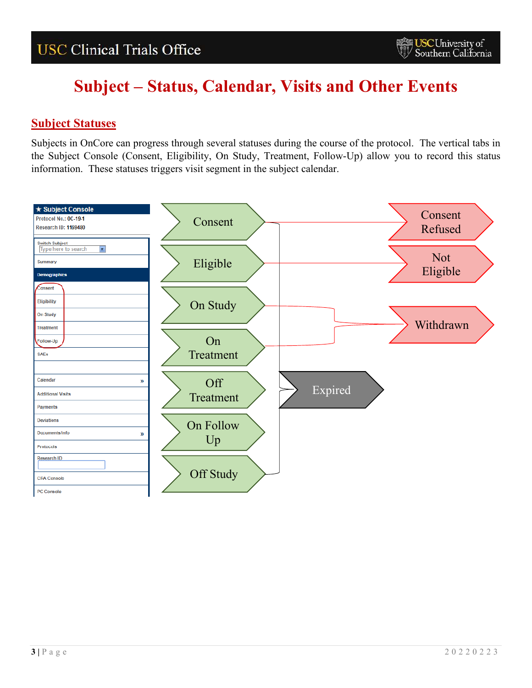### <span id="page-2-0"></span>**Subject Statuses**

Subjects in OnCore can progress through several statuses during the course of the protocol. The vertical tabs in the Subject Console (Consent, Eligibility, On Study, Treatment, Follow-Up) allow you to record this status information. These statuses triggers visit segment in the subject calendar.

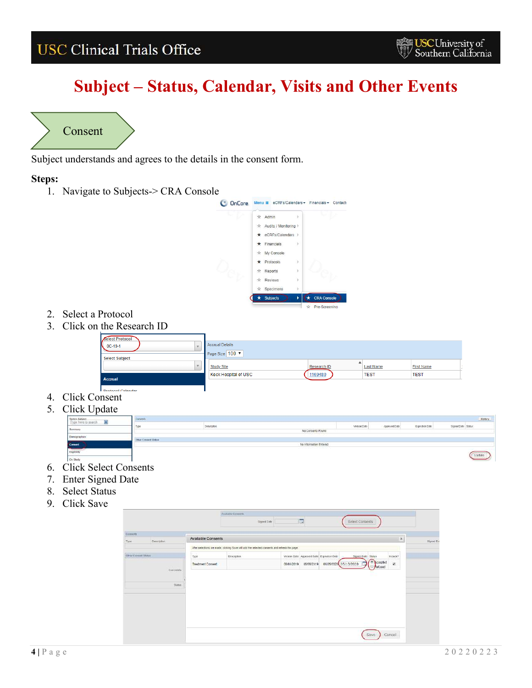# **Subject – Status, Calendar, Visits and Other Events**



<span id="page-3-0"></span>Subject understands and agrees to the details in the consent form.

### **Steps:**



- 2. Select a Protocol
- 3. Click on the Research ID

| Select Protocol<br>$0C-19-1$ | <b>Accrual Details</b><br>Page Size 100 v |             |                  |                   |  |
|------------------------------|-------------------------------------------|-------------|------------------|-------------------|--|
| <b>Select Subject</b>        | <b>Study Site</b>                         | Research ID | <b>Last Name</b> | <b>First Name</b> |  |
| Accrual                      | <b>Keck Hospital of USC</b>               | 1169480     | <b>TEST</b>      | <b>TEST</b>       |  |

- 4. Click Consent
- 



- 6. Click Select Consents
- 7. Enter Signed Date
- 8. Select Status
- 9. Click Save

|                    |             |                           | AUXI20N CHIWAYD                                                                             |            |            |                                            |                       |                      |                          |           |
|--------------------|-------------|---------------------------|---------------------------------------------------------------------------------------------|------------|------------|--------------------------------------------|-----------------------|----------------------|--------------------------|-----------|
|                    |             |                           | <b>Signed Date</b>                                                                          |            | 圖          |                                            | Select Consents       |                      |                          |           |
| Giment             |             |                           |                                                                                             |            |            |                                            |                       |                      |                          |           |
| Type.              | Description | <b>Available Consents</b> |                                                                                             |            |            |                                            |                       |                      | $\rm{sc}$                | Signed Da |
|                    |             |                           | Mer selections are made, clicking Save will add the selected consents and refresh the page. |            |            |                                            |                       |                      |                          |           |
| One Contact States |             | Type:                     | Description.                                                                                |            |            | Version Date Approved Date Expiration Date | Signed Date Status    |                      | Include?                 |           |
|                    |             | Treatment Consent         |                                                                                             | 06/06/2019 | 06/06/2019 |                                            | 06/05/2020 05/13/2020 | Rocepted<br>Refused. | $\overline{\mathcal{R}}$ |           |
|                    | Connerts    |                           |                                                                                             |            |            |                                            |                       |                      |                          |           |
|                    |             |                           |                                                                                             |            |            |                                            |                       |                      |                          |           |
|                    | Siztes      |                           |                                                                                             |            |            |                                            |                       |                      |                          |           |
|                    |             |                           |                                                                                             |            |            |                                            |                       |                      |                          |           |
|                    |             |                           |                                                                                             |            |            |                                            |                       |                      |                          |           |
|                    |             |                           |                                                                                             |            |            |                                            |                       |                      |                          |           |
|                    |             |                           |                                                                                             |            |            |                                            |                       |                      |                          |           |
|                    |             |                           |                                                                                             |            |            |                                            |                       |                      |                          |           |
|                    |             |                           |                                                                                             |            |            |                                            |                       | Save:                | cancel                   |           |
|                    |             |                           |                                                                                             |            |            |                                            |                       |                      |                          |           |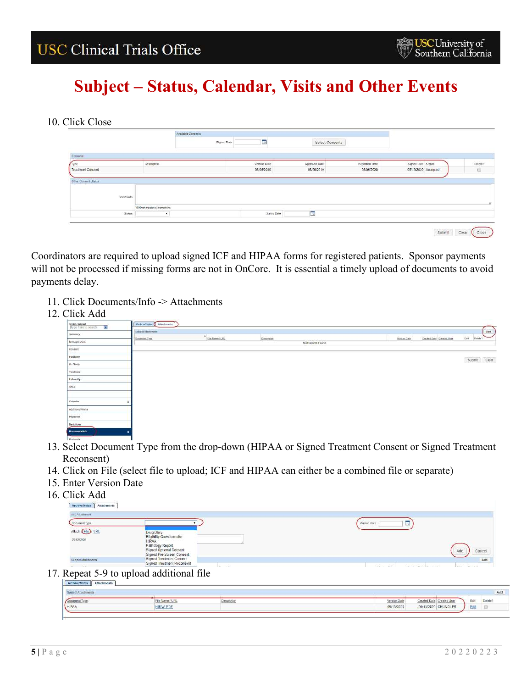### 10. Click Close

|                                  |                             | Available Consents |              |                 |                 |                     |         |
|----------------------------------|-----------------------------|--------------------|--------------|-----------------|-----------------|---------------------|---------|
|                                  |                             | Signed Date        | $\Box$       | Select Consents |                 |                     |         |
| Consento                         |                             |                    |              |                 |                 |                     |         |
| <b>Type</b>                      | Description                 |                    | Version Date | Approved Date   | Expiration Date | Signed Date Status  | Defete? |
| Treatment Consent                |                             |                    | 06/06/2019   | 06/06/2019      | 06/05/2020      | 05/13/2020 Accepted | Đ       |
|                                  |                             |                    |              |                 |                 |                     |         |
| Other Consent Status<br>Comments |                             |                    |              |                 |                 |                     |         |
|                                  | 1000 character(s) remaining |                    |              | E               |                 |                     |         |

Coordinators are required to upload signed ICF and HIPAA forms for registered patients. Sponsor payments will not be processed if missing forms are not in OnCore. It is essential a timely upload of documents to avoid payments delay.

- 11. Click Documents/Info -> Attachments
- 12. Click Add

| Switch Subject<br>Type from to search | Archive/Notes   Attachments |                  |             |                   |              |                           | $\overline{\phantom{a}}$                            |
|---------------------------------------|-----------------------------|------------------|-------------|-------------------|--------------|---------------------------|-----------------------------------------------------|
| Sammary                               | Subject Attentionerie       | File Name / LEEL | Description |                   |              | Created Date Created User | Add<br>---<br>Edit                                  |
| Demographics                          | Document Type               |                  |             | No Records Found. | Version Date |                           | Delete?                                             |
| Connert                               |                             |                  |             |                   |              |                           |                                                     |
| tripitery                             |                             |                  |             |                   |              |                           | divergence of process.<br>$\mathbb{C}\mathbb{R}$ ar |
| On Study                              |                             |                  |             |                   |              |                           | Submit                                              |
| Treatment                             |                             |                  |             |                   |              |                           |                                                     |
| Fallow-Up                             |                             |                  |             |                   |              |                           |                                                     |
| SAEs                                  |                             |                  |             |                   |              |                           |                                                     |
|                                       |                             |                  |             |                   |              |                           |                                                     |
| Calendar                              |                             |                  |             |                   |              |                           |                                                     |
| Additional Visits                     |                             |                  |             |                   |              |                           |                                                     |
| Payments                              |                             |                  |             |                   |              |                           |                                                     |
| Devisions                             |                             |                  |             |                   |              |                           |                                                     |
| <b>Documents/Info</b>                 |                             |                  |             |                   |              |                           |                                                     |
| and the party of the fact that the    |                             |                  |             |                   |              |                           |                                                     |

- 13. Select Document Type from the drop-down (HIPAA or Signed Treatment Consent or Signed Treatment Reconsent)
- 14. Click on File (select file to upload; ICF and HIPAA can either be a combined file or separate)
- 15. Enter Version Date
- 16. Click Add

| Add Atlachmont                |                                                                          |                   |
|-------------------------------|--------------------------------------------------------------------------|-------------------|
| Oocument Type                 |                                                                          | Version Data<br>œ |
| Attach Che URL<br>Description | <b>Drug Diary</b><br>Eligibility Questionnaire<br><b>HIPAA</b>           |                   |
|                               | Pathology Report<br>Signed Optional Consent<br>Signed Pre-Screen Consent | Cancel<br>Add     |
| Subject Attachments           | Signed Treatment Consent<br>Signed Treatment Reconsent                   | Add               |

## 17. Repeat 5-9 to upload additional file

|       |          |                    |                                   |      | Add    |
|-------|----------|--------------------|-----------------------------------|------|--------|
|       | $-7.115$ | <b>Description</b> | Version Dat                       |      | Delete |
| HIPAA |          |                    | 05/13/2020<br>05/13/2020 CHUNGLES | Edit |        |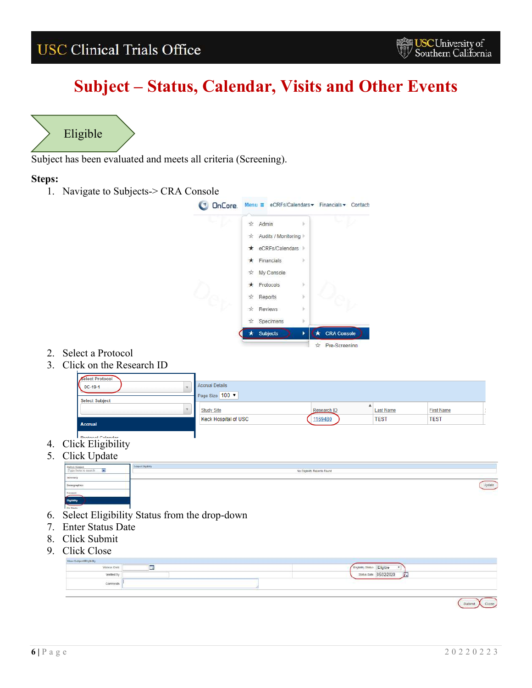# **Subject – Status, Calendar, Visits and Other Events**



<span id="page-5-0"></span>Subject has been evaluated and meets all criteria (Screening).

### **Steps:**

1. Navigate to Subjects-> CRA Console



- 2. Select a Protocol
- 3. Click on the Research ID

| Select Protocol<br>$0C-19-1$<br><b>Select Subject</b> | Accrual Details<br>Page Size 100 7 |             |                  |                   |
|-------------------------------------------------------|------------------------------------|-------------|------------------|-------------------|
|                                                       | <b>Study Site</b>                  | Research ID | <b>Last Name</b> | <b>First Name</b> |
| <b>Accrual</b>                                        | <b>Keck Hospital of USC</b>        | 1169480     | <b>TEST</b>      | <b>TEST</b>       |
| <b>Drotocol Calendar</b>                              |                                    |             |                  |                   |

- 4. Click Eligibility
- 5. Click Undate

| $\cup$ lick Opdate                     |                |                                                                                                                |  |
|----------------------------------------|----------------|----------------------------------------------------------------------------------------------------------------|--|
| Switch Subject<br>Type fiere to bearch | Sized Eliphini | No Eligibility Records Found                                                                                   |  |
| Sminary                                |                | - 1000 - 1000 March 2000 - 1000 March 2000 March 2000 March 2000 March 2000 March 2000 March 2000 March 2000 M |  |
| Demographics                           |                |                                                                                                                |  |
| Consent                                |                |                                                                                                                |  |
| <b>Higitstry</b>                       |                |                                                                                                                |  |
| On Study                               |                |                                                                                                                |  |

- 6. Select Eligibility Status from the drop-down
- 7. Enter Status Date
- 8. Click Submit
- 9. Click Close

| New Subject Bighilly<br>company's firmer of the position develop |                     |                                            |  |
|------------------------------------------------------------------|---------------------|--------------------------------------------|--|
| Version Date                                                     | <b>Color</b><br>مست | Eligible<br>Eighlity Statu<br><b>THE R</b> |  |
| Vertfied By                                                      |                     | 05/02/2020<br>÷<br>Status Date<br>,,,,,    |  |
| Comments                                                         |                     | <b>SEC</b>                                 |  |
|                                                                  |                     |                                            |  |

Submit Close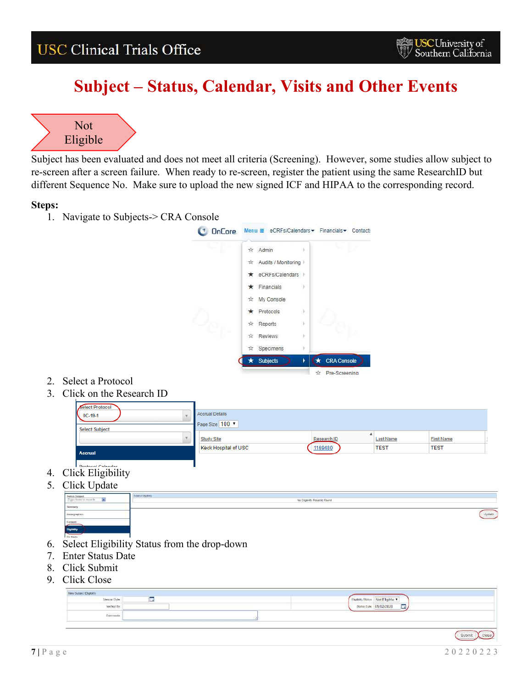## **Subject – Status, Calendar, Visits and Other Events**



<span id="page-6-0"></span>Subject has been evaluated and does not meet all criteria (Screening). However, some studies allow subject to re-screen after a screen failure. When ready to re-screen, register the patient using the same ResearchID but different Sequence No. Make sure to upload the new signed ICF and HIPAA to the corresponding record.

### **Steps:**

1. Navigate to Subjects-> CRA Console



- 2. Select a Protocol
- 3. Click on the Research ID

| Select Protocol<br>$0C-19-1$    | Accrual Details<br>Page Size 100 V |             |                  |                   |  |
|---------------------------------|------------------------------------|-------------|------------------|-------------------|--|
| <b>Select Subject</b><br>$\sim$ | <b>Study Site</b>                  | Research ID | <b>Last Name</b> | <b>First Name</b> |  |
| <b>Accrual</b>                  | <b>Keck Hospital of USC</b>        | 1169480     | <b>TEST</b>      | <b>TEST</b>       |  |
| <b>Drotogol Colondor</b>        |                                    |             |                  |                   |  |

- 4. Click Eligibility
- 5. Click Update

| $\cup$ non $\cup$ puuto                    |                                                |
|--------------------------------------------|------------------------------------------------|
| Switch Subject<br>Type here to bearch<br>ø | Sized Eliphini<br>No Eligibility Records Found |
| Smmary                                     | - 100 동안은 2015년 2015년 2016년 2016년              |
| Damagraphica                               |                                                |
| Consent                                    |                                                |
| <b>Elipitate</b>                           |                                                |
| Ori Study                                  |                                                |

- 6. Select Eligibility Status from the drop-down
- 7. Enter Status Date
- 8. Click Submit
- 9. Click Close

| New Subject Eligibility |     |                                                         |
|-------------------------|-----|---------------------------------------------------------|
| <b>Version Date</b>     | تسد | <b>CONTRACTOR</b><br>Not Eligible<br>Eligibility Status |
| Verified By             |     | Status Date 05/02/2020<br>$\overline{\mathbf{m}}$       |
| Comments                |     |                                                         |
|                         |     |                                                         |

(Submit Close)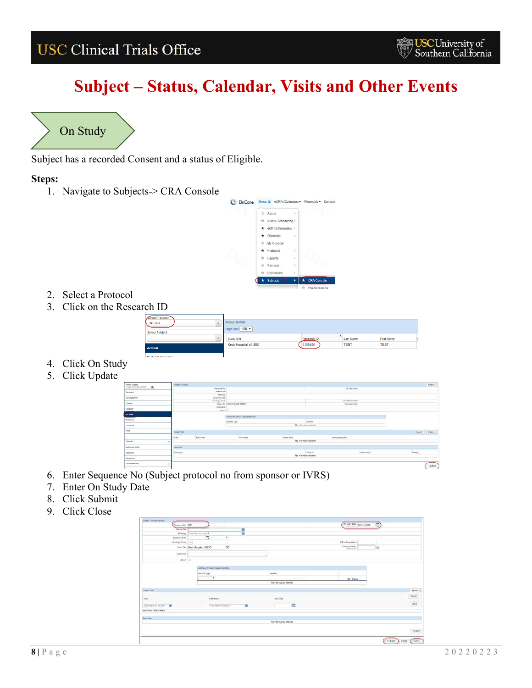# **Subject – Status, Calendar, Visits and Other Events**



<span id="page-7-0"></span>Subject has a recorded Consent and a status of Eligible.

### **Steps:**



- 2. Select a Protocol
- 3. Click on the Research ID

| Select Protocol<br>$0C-19-1$ | <b>Accrual Details</b>               |             |                  |                   |
|------------------------------|--------------------------------------|-------------|------------------|-------------------|
| <b>Select Subject</b>        | Page Size 100 v<br><b>Study Site</b> | Research ID | <b>Last Name</b> | <b>First Name</b> |
| Accrual                      | <b>Keck Hospital of USC</b>          | 1169480     | <b>TEST</b>      | <b>TEST</b>       |

- 4. Click On Study
- 5. Click Update



- 6. Enter Sequence No (Subject protocol no from sponsor or IVRS)
- 7. Enter On Study Date
- 8. Click Submit
- 9. Click Close

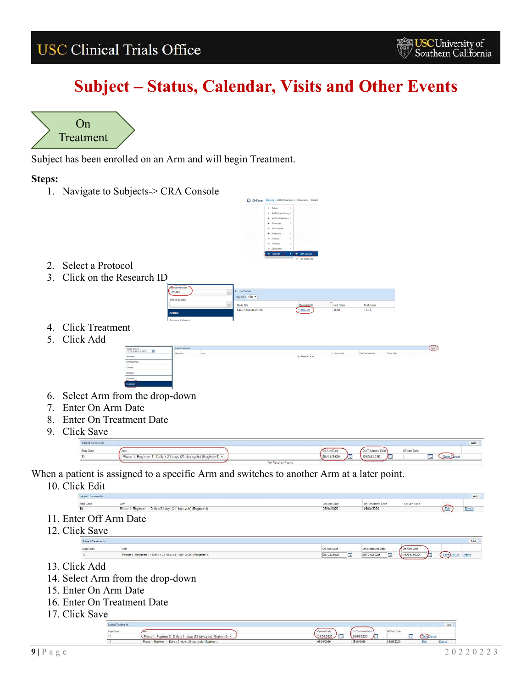$(x)$ 

# **Subject – Status, Calendar, Visits and Other Events**



<span id="page-8-0"></span>Subject has been enrolled on an Arm and will begin Treatment.

### **Steps:**

1. Navigate to Subjects-> CRA Console



- 2. Select a Protocol
- 3. Click on the Research ID

| Select Protocol<br>$0C-19-1$ | Accrual Details<br>Page Size 100 . |             |                  |                   |
|------------------------------|------------------------------------|-------------|------------------|-------------------|
| <b>Select Subject</b>        | <b>Study Site</b>                  | Research ID | <b>Last Name</b> | <b>First Name</b> |
| Accrual                      | Keck Hospital of USC               | 1169480     | <b>TEST</b>      | <b>TEST</b>       |
|                              |                                    |             |                  |                   |

- 4. Click Treatment
- 5. Click Add



- 6. Select Arm from the drop-down
- 7. Enter On Arm Date
- 8. Enter On Treatment Date
- 9. Click Save



When a patient is assigned to a specific Arm and switches to another Arm at a later point.

10. Click Edit

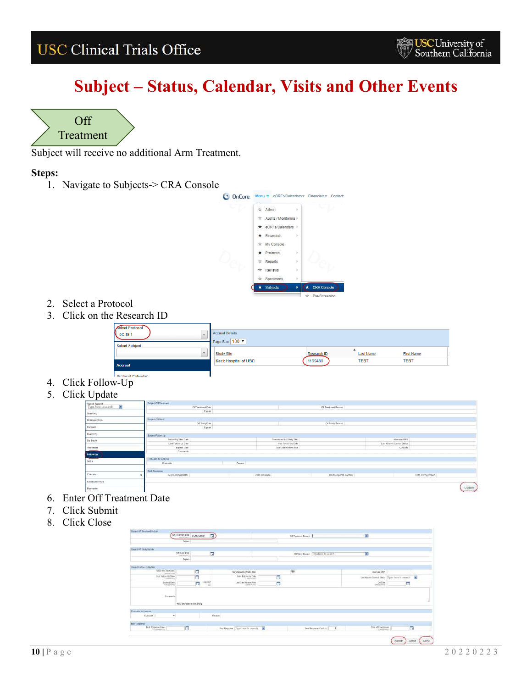# **Subject – Status, Calendar, Visits and Other Events**



<span id="page-9-0"></span>Subject will receive no additional Arm Treatment.

### **Steps:**



- 2. Select a Protocol
- 3. Click on the Research ID



- 4. Click Follow-Up
- 5. Click Update

|                                              | Susad Of Testrant<br>The State County of the |               |                           | <b>WARRANT AND PARTY</b> |                            |                     |        |
|----------------------------------------------|----------------------------------------------|---------------|---------------------------|--------------------------|----------------------------|---------------------|--------|
| Switch Subject<br>Type form to small the set | DF Trainfound Date                           |               |                           | Of Treatment Reason      |                            |                     |        |
| Summery                                      | Esten                                        |               |                           |                          |                            |                     |        |
| Demographics                                 | <b><i><u>Edited Of Busy</u></i></b>          |               |                           | <b>DESCRIPTION</b>       |                            |                     |        |
|                                              | Off Bludy Date                               |               |                           | Off Study Reason         |                            |                     |        |
| Consort                                      | Esplain                                      |               |                           | ---                      |                            |                     |        |
| Bigitisty                                    | <b>Based Following</b>                       |               |                           |                          |                            |                     |        |
| On Study                                     | Follow-Up Start Date                         |               | Tharmheted to (Skety Sta) |                          | Atlantata MRB              |                     |        |
|                                              | Last Follow-Up Date                          |               | Neil Follow-Up Date       |                          | Last Known Servival Status |                     |        |
| Trastrum                                     | Expired Date                                 |               | Last Date Known Alice     |                          | GADale<br>play and count   |                     |        |
| Follow-the                                   | Comments                                     |               |                           |                          |                            |                     |        |
|                                              | Evaluate for Analysis                        |               |                           |                          |                            |                     |        |
| SAE»                                         | <b>Dystudie</b>                              | Reason        |                           |                          |                            |                     |        |
|                                              | <b>But Response</b>                          |               |                           |                          |                            |                     |        |
| Calendar                                     | Best Response Date                           | Best Response |                           | Best Response Conferr    |                            | Date of Progression |        |
| Additional Visits                            |                                              |               |                           |                          |                            |                     |        |
| Payments                                     |                                              |               |                           |                          |                            |                     | Update |

- 6. Enter Off Treatment Date
- 7. Click Submit
- 8. Click Close

|                                              | Of Treatment Date p6/07/2020<br>Export | E         |                                         |    | Of Dealershit Research                | Ø.                                          |                |   |
|----------------------------------------------|----------------------------------------|-----------|-----------------------------------------|----|---------------------------------------|---------------------------------------------|----------------|---|
| Subject Off Straty Stadies                   |                                        |           |                                         |    |                                       |                                             |                |   |
|                                              | Off Disaly Dale                        | $\Box$    |                                         |    | Of State Roome: (Type Nora to search) | $\overline{\mathbf{a}}$                     |                |   |
|                                              | Explan                                 |           |                                         |    |                                       |                                             |                |   |
| <b>INGER FOREVILLE LEGENT</b>                |                                        |           |                                         |    |                                       |                                             |                |   |
| Follow-Up Start Date<br>Ammsterer            | о                                      |           | Transferred by (Study Sile)             |    | $\phi$                                | Alleman MRN                                 |                |   |
| Last Fallowing Date                          | G                                      |           | hext Followity Date<br>asterment.       | E. |                                       | Latitizan Seviva State Tryon here to rearch |                | ъ |
| LEGISLATION                                  |                                        |           |                                         |    |                                       |                                             |                |   |
| Expired Elste<br><b>GAMEDAVIA</b>            | u,                                     | samo<br>亚 | Lost Date Young Alive<br>THE GAMESTATES | G  |                                       | <b>OADate</b><br>saidony/s                  | G              |   |
| Common                                       |                                        |           |                                         |    |                                       |                                             |                |   |
|                                              | 4000 characteric remaining             |           |                                         |    |                                       |                                             |                |   |
|                                              |                                        |           |                                         |    |                                       |                                             |                |   |
| Preside to know<br><b>Dynamics</b><br>$\tau$ |                                        |           | <b>Reason</b>                           |    |                                       |                                             |                |   |
| <b>Ham Response</b><br>End Frequence Date:   | $\Box$                                 |           |                                         |    |                                       | Cate of Progression                         | $\overline{a}$ |   |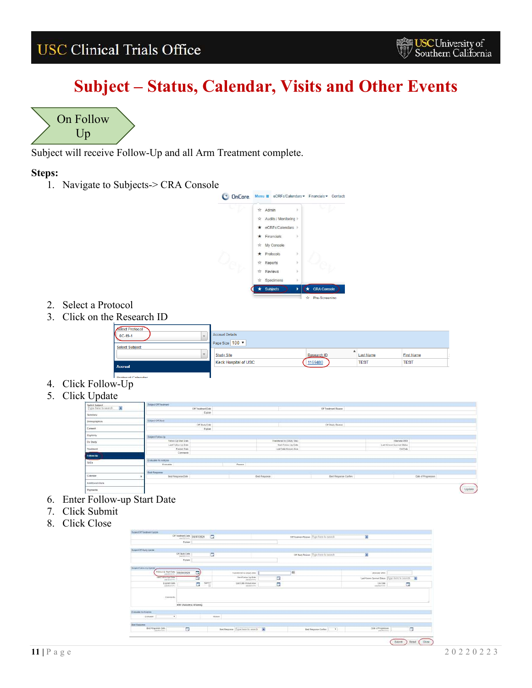## **Subject – Status, Calendar, Visits and Other Events**

 $\sqrt{U_p}$ On Follow

<span id="page-10-0"></span>Subject will receive Follow-Up and all Arm Treatment complete.

### **Steps:**

1. Navigate to Subjects-> CRA Console



- 2. Select a Protocol
- 3. Click on the Research ID



- 4. Click Follow-Up
- 5. Click Update

| Switch Subject<br>Type Servicts search | Surged Of Treatment<br>The State County of the |               | <b>CONTRACTOR</b>            |                            |                     |
|----------------------------------------|------------------------------------------------|---------------|------------------------------|----------------------------|---------------------|
|                                        | <b>DE Trainfound Date</b>                      |               | Of Treatment Reason          |                            |                     |
| Sammery:                               | Estain                                         |               |                              |                            |                     |
| Demographics                           | <b><i>Sigest Of Barry</i></b>                  |               | <b>Automation Contractor</b> |                            |                     |
|                                        | Off Bludy Date<br>Explain                      |               | Of Stuty Reason              |                            |                     |
| Cornwort                               |                                                |               |                              |                            |                     |
| Bigitisty                              | <b>Based Following</b>                         |               |                              |                            |                     |
|                                        | Follow-Up Start Date                           |               | Tharadwood to (Study Sta)    | Atlantata MRB              |                     |
| On Study                               | Last Follow-Up Date                            |               | Neil Folder-Up Date          | Last Known Survival Status |                     |
| Trackment                              | Expired Date                                   |               | Last Date Known Alice        | GADale                     |                     |
|                                        | Comments                                       |               |                              | a class of security        |                     |
| Follow-the                             |                                                |               |                              |                            |                     |
|                                        | Evaluate for Analysis                          |               |                              |                            |                     |
| SAE»                                   | <b>Evanuatio</b>                               | Reason        |                              |                            |                     |
|                                        | <b>Bud Response</b>                            |               |                              |                            |                     |
| Calendar                               | Best Response Date                             | Eest Fragonic | Best Response Confern        |                            | Date of Progression |
| Additional Visits                      |                                                |               |                              |                            |                     |
| Payments                               |                                                |               |                              |                            | Update              |

- 6. Enter Follow-up Start Date
- 7. Click Submit
- 8. Click Close

|                                                             | <b>STREET IN STR</b>         |   |                                 |                            |        |                                        |                                                  |   |   |
|-------------------------------------------------------------|------------------------------|---|---------------------------------|----------------------------|--------|----------------------------------------|--------------------------------------------------|---|---|
|                                                             | Of Treatment Date 05/87/2020 |   | G                               |                            |        | Different Rosser. Type here to postal. | g)                                               |   |   |
|                                                             | Explain                      |   |                                 |                            |        |                                        |                                                  |   |   |
| Sulant Of Staty Venew                                       |                              |   |                                 |                            |        |                                        |                                                  |   |   |
|                                                             | Df Study Data                |   | Ξ                               |                            |        | or their flower Type frees to search   | g,                                               |   |   |
|                                                             | Explore                      |   |                                 |                            |        |                                        |                                                  |   |   |
| Suitant Falow Lis Update                                    |                              |   |                                 |                            |        |                                        |                                                  |   |   |
| Falmich Serioen (\$500/212)                                 |                              | 同 |                                 | Transferred to (50x0y 2Rt) |        | $\overline{\mathbf{Q}}$                | <b><i>LEWIS ON MAIN</i></b>                      |   |   |
|                                                             |                              | ۵ |                                 | field Fallow-Up Date       | $\Box$ |                                        | Last Known Daveval Status Type & Arrento depicts |   | 攌 |
| Last Policy Lo Cura                                         |                              |   |                                 |                            |        |                                        |                                                  |   |   |
| Eigined Cube                                                |                              | п | $\frac{\text{Area}}{\text{d}t}$ | LIST Calls Knowl Alive     | E      |                                        | CA One<br>manavoro                               | E |   |
| . Converts:                                                 |                              |   |                                 |                            |        |                                        |                                                  |   |   |
|                                                             | 4000 UNIVERSITY REMAINING    |   |                                 |                            |        |                                        |                                                  |   |   |
|                                                             |                              |   |                                 |                            |        |                                        |                                                  |   |   |
| Drawing to Analysis<br>$\pmb{\mathrm{v}}$<br><b>TANADIA</b> |                              |   | Person                          |                            |        |                                        |                                                  |   |   |
| <b>Bimi Flassioner</b>                                      |                              |   |                                 |                            |        |                                        | CHN of Progression                               |   |   |

**USC University of**<br>Southern California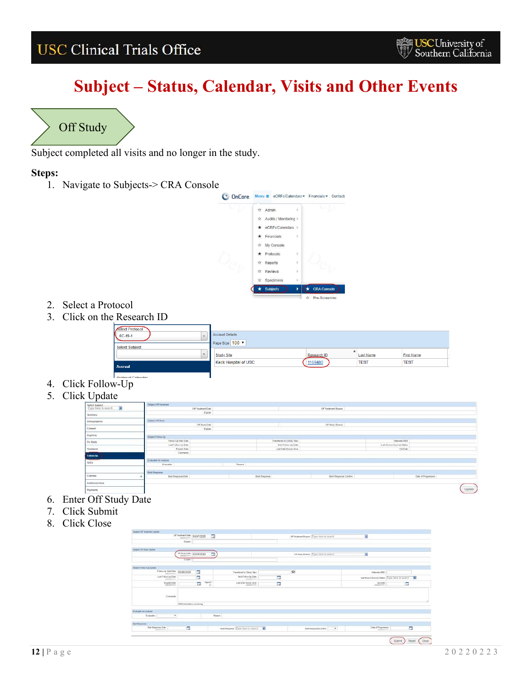# **Subject – Status, Calendar, Visits and Other Events**



<span id="page-11-0"></span>Subject completed all visits and no longer in the study.

### **Steps:**



- 2. Select a Protocol
- 3. Click on the Research ID



- 4. Click Follow-Up
- 5. Click Update

| Switch Subject<br>Type hard to small the | Surged Of Treatment<br><b>The State County of Auto</b> |          |                           | <b>CONTRACTOR</b>     |                             |                     |        |
|------------------------------------------|--------------------------------------------------------|----------|---------------------------|-----------------------|-----------------------------|---------------------|--------|
|                                          | <b>DE Trainfound Date</b>                              |          |                           | Of Treatment Reason   |                             |                     |        |
| Summery:                                 | Esten                                                  |          |                           |                       |                             |                     |        |
| Demographics                             | <b><i>Sigest Of Barry</i></b>                          |          |                           |                       |                             |                     |        |
|                                          | Off Bludy Date                                         |          |                           | Off Study Reason      |                             |                     |        |
| Consort                                  | Exites                                                 |          |                           |                       |                             |                     |        |
| Bigitisty                                | <b>Based Following</b>                                 |          |                           |                       |                             |                     |        |
| On Study                                 | Follow-Up Start Date                                   |          | Tharmheted to (Skety Sta) |                       | Attempts MR11               |                     |        |
|                                          | Last Follow-Lip Date                                   |          | Neil Follow-Up Date       |                       | Last Known Servival Status  |                     |        |
| Trackremi                                | Expired Date                                           |          | Last Date Known Alice     |                       | GADale<br><b>STATISTICS</b> |                     |        |
| Following                                | Comments                                               |          |                           |                       |                             |                     |        |
|                                          | Evaluate for Analysis                                  |          |                           |                       |                             |                     |        |
| SAE»                                     | <b>Evanuatio</b>                                       | - Reason |                           |                       |                             |                     |        |
|                                          | <b>But Response</b>                                    |          |                           |                       |                             |                     |        |
| Calendar                                 | Best Response Date                                     |          | Best Respirite            | Best Response Confern |                             | Date of Progression |        |
| Additional Visits                        |                                                        |          |                           |                       |                             |                     |        |
| Payments:                                |                                                        |          |                           |                       |                             |                     | Update |

- 6. Enter Off Study Date
- 7. Click Submit
- 8. Click Close

|                                                         | of feature the 1601/2023     |                |                   |               |                                            |   | Of Trockwort Reverer: Tiyoro front to cytantifi- | 嵐                                              |   |   |
|---------------------------------------------------------|------------------------------|----------------|-------------------|---------------|--------------------------------------------|---|--------------------------------------------------|------------------------------------------------|---|---|
|                                                         | <b>Digital</b>               |                |                   |               |                                            |   |                                                  |                                                |   |   |
|                                                         |                              |                |                   |               |                                            |   |                                                  |                                                |   |   |
| Seque Of Skitz Space                                    |                              |                |                   |               |                                            |   |                                                  |                                                |   |   |
|                                                         | UT Starty Diffe 16/09/2020   |                | Ŀ,                |               |                                            |   | Of Easty Reason (Type twee list knock)           | ø                                              |   |   |
|                                                         | Explain                      |                |                   |               |                                            |   |                                                  |                                                |   |   |
| Delayed Porters-Ltd Marketin                            |                              |                |                   |               |                                            |   |                                                  |                                                |   |   |
| False-Up Start Date 05/88/2020                          |                              | G              |                   |               | Transferred by Church Siles                |   | 198                                              | Allemaile MESU                                 |   |   |
| Last Fallow Up Date                                     |                              | Ξ              |                   |               | <b>Nard Fallow-Up Earls</b><br>: seepbyrem | Ξ |                                                  | Liet Khoue Sushoil States: Type Form 01 squirt |   | Ð |
| AMPOUNTING                                              |                              |                |                   |               |                                            |   |                                                  |                                                |   |   |
| Equited Date<br>ONESDAYOR                               |                              | $\overline{a}$ | Appear?<br>ю<br>w |               | Last Dide Kissen Jave<br><b>CONTRACTOR</b> | G |                                                  | 114 1536<br>Associations.                      | α |   |
| Connect:<br>33                                          |                              |                |                   |               |                                            |   |                                                  |                                                |   |   |
|                                                         | 4090 chialacteria (numering) |                |                   |               |                                            |   |                                                  |                                                |   |   |
|                                                         |                              |                |                   |               |                                            |   |                                                  |                                                |   |   |
| Draftskille for Analysis<br>$\sim$<br>Crawdis<br>$\sim$ |                              |                |                   | <b>Resear</b> |                                            |   |                                                  |                                                |   |   |
| <b>Best Fergussen</b>                                   |                              |                |                   |               |                                            |   |                                                  |                                                |   |   |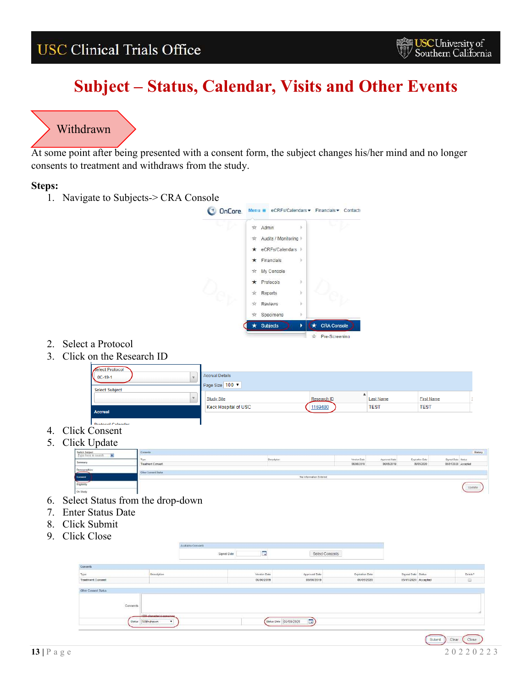## **Subject – Status, Calendar, Visits and Other Events**

### <span id="page-12-0"></span> $\sqrt{2}$ Withdrawn

At some point after being presented with a consent form, the subject changes his/her mind and no longer consents to treatment and withdraws from the study.

### **Steps:**

1. Navigate to Subjects-> CRA Console



- 2. Select a Protocol
- 3. Click on the Research ID

| Select Protocol          |                      |             |                  |                   |  |
|--------------------------|----------------------|-------------|------------------|-------------------|--|
| $0C-19-1$                | Accrual Details      |             |                  |                   |  |
|                          | Page Size 100 V      |             |                  |                   |  |
| <b>Select Subject</b>    |                      |             |                  |                   |  |
|                          | <b>Study Site</b>    | Research ID | <b>Last Name</b> | <b>First Name</b> |  |
| <b>Accrual</b>           | Keck Hospital of USC | 1169480     | <b>TEST</b>      | <b>TEST</b>       |  |
|                          |                      |             |                  |                   |  |
| <b>Drotocol Calendar</b> |                      |             |                  |                   |  |

- 4. Click Consent
- 5. Click Update

| liun Opualu    |                      |                        |              |               |                 |                      |         |  |
|----------------|----------------------|------------------------|--------------|---------------|-----------------|----------------------|---------|--|
| Switch Subject | <b>Corneris</b>      |                        |              |               |                 |                      | History |  |
|                |                      | Description            | Version Date | Ajorqued Date | Expiration Date | Signed Date: Status: |         |  |
| Summary        | Treatment Consent    |                        | 05/06/2010   | 05/05/2019    | 06/05/2020      | 05/01/2020 Accepted  |         |  |
| Demographics   | Other Commert Status |                        |              |               |                 |                      |         |  |
| Connent        |                      | No information Entered |              |               |                 |                      |         |  |
| Eligibility    |                      |                        |              |               |                 |                      | Update  |  |
| On Study       |                      |                        |              |               |                 |                      |         |  |

- 6. Select Status from the drop-down
- 7. Enter Status Date
- 8. Click Submit
- 9. Click Close

|                   | Auskatte Consenta         |             |                        |                 |                 |                     |         |
|-------------------|---------------------------|-------------|------------------------|-----------------|-----------------|---------------------|---------|
|                   |                           | Signed Date | W.                     | Select Consents |                 |                     |         |
| Contents          |                           |             |                        |                 |                 |                     |         |
| Type              | Description               |             | Version Date           | Approved Date   | Expiration Date | Signed Date Status  | Delete? |
| Treatment Consent |                           |             | 05/05/2019             | 06/06/2019      | 06/05/2020      | 05/01/2020 Accepted | ₿       |
| Commerts          | 1000 characterist company |             |                        |                 |                 |                     |         |
|                   | status Withdrawn<br>٠     |             | Status Date 05/08/2020 | <b>I</b> nv     |                 |                     |         |
|                   |                           |             |                        |                 |                 |                     | 一       |

**USC University of**<br>Southern California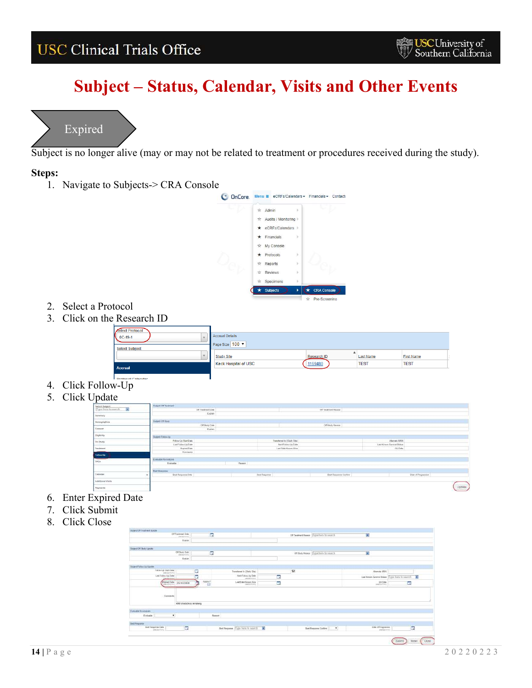## **Subject – Status, Calendar, Visits and Other Events**



<span id="page-13-0"></span>Subject is no longer alive (may or may not be related to treatment or procedures received during the study).

### **Steps:**

1. Navigate to Subjects-> CRA Console



- 2. Select a Protocol
- 3. Click on the Research ID



- 4. Click Follow-Up
- 5. Click Update

|                                          | Subject Of Treatment<br><b>STATISTICS</b> IN CASE OF |        |                                             |                       |                                      |                     |        |
|------------------------------------------|------------------------------------------------------|--------|---------------------------------------------|-----------------------|--------------------------------------|---------------------|--------|
| Switch Subsect<br>Type form to small the | Of Treatment Date                                    |        |                                             | Of Treatment Reason   |                                      |                     |        |
| Sammery                                  | Easten                                               |        |                                             |                       |                                      |                     |        |
| Demographics                             | Hallest Off Barry                                    |        |                                             | <b>TESTING AND I</b>  |                                      |                     |        |
| Corners:                                 | Off Bludy Date<br>Expliers                           |        |                                             | Off Study Reason      |                                      |                     |        |
| Bigitisty                                | Based Fotov/Is                                       |        |                                             |                       |                                      |                     |        |
| On Study                                 | Follow-Up Start Date                                 |        | Transferred to (Study Sta)                  |                       | <b>Processing</b><br>Atlantata MRB   |                     |        |
| Transform                                | Last Follow-Up Date<br>Expired Date                  |        | feel Folder-Up Cole<br>Last Date Known Alex |                       | Last Known Survival Status<br>GADale |                     |        |
| Follow-itp                               | Comments                                             |        | <b>CONTRACTOR</b>                           |                       | Constitution on                      |                     |        |
| _                                        | Evaluate for Analysis                                |        |                                             |                       |                                      |                     |        |
| <b>SAEK</b>                              | <b>Evasuate</b>                                      | Reason |                                             |                       |                                      |                     |        |
|                                          | <b>Best Rengance</b>                                 |        |                                             |                       |                                      |                     |        |
| Calendar                                 | Best Response Date                                   |        | Gest Fasquinse                              | Best Response Confirm |                                      | Date of Progression |        |
| Additional Visits                        |                                                      |        |                                             |                       |                                      |                     |        |
| Payments                                 |                                                      |        |                                             |                       |                                      |                     | Update |

- 6. Enter Expired Date
- 7. Click Submit
- 8. Click Close

|                                                                        | Off Transmort Done<br>paint information L. |   | п                        |                           |                          | Of Treatment Research (Type Trans 10-24 (413) |                                           | ø                                                 |          |   |
|------------------------------------------------------------------------|--------------------------------------------|---|--------------------------|---------------------------|--------------------------|-----------------------------------------------|-------------------------------------------|---------------------------------------------------|----------|---|
|                                                                        | Finales                                    |   |                          |                           |                          |                                               |                                           |                                                   |          |   |
| Subject Off Sluty Lipsuke                                              |                                            |   |                          |                           |                          |                                               |                                           |                                                   |          |   |
|                                                                        | Of Skely Date:<br>Saldwaynes.              |   | $\overline{\phantom{a}}$ |                           |                          |                                               | Of Study Reason: Ill you have to meant to | Ω                                                 |          |   |
|                                                                        | Erstahl                                    |   |                          |                           |                          |                                               |                                           |                                                   |          |   |
|                                                                        |                                            |   |                          |                           |                          |                                               |                                           |                                                   |          |   |
| Subject Falses Ltd Update<br><b>CONTRACTOR</b><br>Fatas-Us Start Day   |                                            | a |                          | Tomstered in (Start; Ska) |                          | 98                                            |                                           | <b>Jahrene Mille</b>                              |          |   |
| pointEnFerry                                                           |                                            |   |                          | HavtFallowUp Date         |                          |                                               |                                           | Last Prison Sentre States : Froid hand to expect: |          | ø |
|                                                                        |                                            |   |                          |                           |                          |                                               |                                           |                                                   |          |   |
| Last Follow No Oate                                                    |                                            | π |                          | <i>Leasenbook</i>         | $\overline{\phantom{a}}$ |                                               |                                           |                                                   |          |   |
| Espand Oate                                                            | 05/16/2024                                 | ħ | FORD !!                  | Lost Date Keave Alex      | 圖                        |                                               |                                           | <b>GADIN</b><br>anadórovo                         | <b>R</b> |   |
| Cessente                                                               | 4000 characterist remaining                |   |                          |                           |                          |                                               |                                           |                                                   |          |   |
| <b>Durante fix Linkvill</b>                                            |                                            |   |                          |                           |                          |                                               |                                           |                                                   |          |   |
| $\bullet$<br>Evelaphie                                                 |                                            |   | Figures                  |                           |                          |                                               |                                           |                                                   |          |   |
| liest Ferannis :<br><b>CONTRACTOR</b><br><b>Stock Fleegovite Crate</b> | $\overline{\mathbf{G}}$                    |   |                          |                           |                          |                                               |                                           | Date of Programme                                 | œ<br>π   |   |

**USC University of**<br>Southern California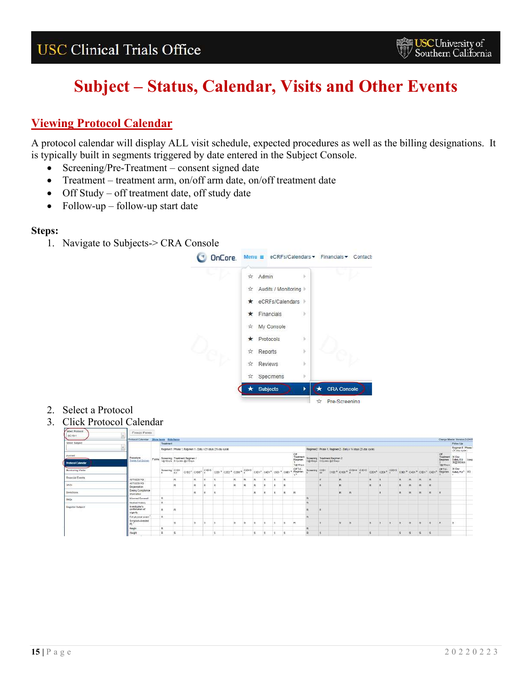# **Subject – Status, Calendar, Visits and Other Events**

### <span id="page-14-0"></span>**Viewing Protocol Calendar**

A protocol calendar will display ALL visit schedule, expected procedures as well as the billing designations. It is typically built in segments triggered by date entered in the Subject Console.

- Screening/Pre-Treatment consent signed date
- Treatment treatment arm, on/off arm date, on/off treatment date
- Off Study off treatment date, off study date
- Follow-up follow-up start date

### **Steps:**



- 2. Select a Protocol
- 3. Click Protocol Calendar

| Select Protocol<br>OC-13-1 | Freeze Panes                                 |          |                                                              |   |              |                  |          |    |  |  |                |                                                                                                                                                                                                                                                                                                                                                                |                                                               |   |       |                |  |                |              |              |              |     |                         |                                                                                                               |  |
|----------------------------|----------------------------------------------|----------|--------------------------------------------------------------|---|--------------|------------------|----------|----|--|--|----------------|----------------------------------------------------------------------------------------------------------------------------------------------------------------------------------------------------------------------------------------------------------------------------------------------------------------------------------------------------------------|---------------------------------------------------------------|---|-------|----------------|--|----------------|--------------|--------------|--------------|-----|-------------------------|---------------------------------------------------------------------------------------------------------------|--|
|                            | Protocol Calendar Show hams Hide farms       |          |                                                              |   |              |                  |          |    |  |  |                |                                                                                                                                                                                                                                                                                                                                                                |                                                               |   |       |                |  |                |              |              |              |     |                         | Charge Master Version:3 (54)                                                                                  |  |
| Select Suliject            |                                              |          | Traustropyt                                                  |   |              |                  |          |    |  |  |                |                                                                                                                                                                                                                                                                                                                                                                |                                                               |   |       |                |  |                |              |              |              |     |                         | Police Up                                                                                                     |  |
|                            |                                              |          | Regimen1: Phase 1, Regimen 1 - Daily 121 days (21-day oycle) |   |              |                  |          |    |  |  |                |                                                                                                                                                                                                                                                                                                                                                                | Regimen2: Phase 1. Regimen 2 - Daily x 14 days (21-day cycle) |   |       |                |  |                |              |              |              |     |                         | Reginer1 : Phase 1<br>$(21.68)$ cytle)                                                                        |  |
| Accruat                    | Procedure                                    | Progress |                                                              |   |              |                  |          |    |  |  |                | Of<br>Treatment<br>Flegisten                                                                                                                                                                                                                                                                                                                                   |                                                               |   |       |                |  |                |              |              |              |     | Off<br>Treatment 30 Day |                                                                                                               |  |
| <b>Protocol Calendar</b>   | Toggle Full Screen                           |          | Screening Treatment Regimen 1<br>1@1Days 6 Cycles @21Days    |   |              |                  |          |    |  |  |                | 10 IDays                                                                                                                                                                                                                                                                                                                                                       | Screening Theatment Regimen 2<br>1@10ays 6 Cystes @210ays     |   |       |                |  |                |              |              |              |     | 100 Days                | Regimes Safety FU Long<br>2 30@30Days                                                                         |  |
| Monitoring Visits          |                                              |          |                                                              |   |              |                  |          |    |  |  |                | $\frac{8 \text{measured}}{4.6} \cdot \frac{1010}{4.6} + \frac{1}{9102^2} \cdot \frac{1}{0103^2} \cdot \frac{1}{91015} \cdot \frac{1}{10201^2} \cdot \frac{1}{0202^2} \cdot \frac{1}{0208^2} \cdot \frac{1}{9101^2} \cdot \frac{1}{0401^2} \cdot \frac{1}{9601^2} \cdot \frac{1}{9601^2} \cdot \frac{1}{1640140} \cdot \frac{1}{164014000000000000000000000000$ |                                                               |   |       |                |  |                |              |              |              |     |                         | 30 Day<br>Screening C101 C102 C103 C104 C1015 C2014 C2015 C2014 C3014 C4014 C5014 C4014 C4014 C4014 C401 C401 |  |
| Financial Everes           | AST0029 PO                                   |          |                                                              |   | R            | 巨                | R        |    |  |  | <b>p</b>       |                                                                                                                                                                                                                                                                                                                                                                |                                                               | R | R.    |                |  |                |              | R            | R            | R   |                         |                                                                                                               |  |
| SADE                       | ASTA029 PO<br>Dispersetion                   |          |                                                              |   | $\mathbf{R}$ | $\triangleright$ | R        | R. |  |  | $\overline{R}$ |                                                                                                                                                                                                                                                                                                                                                                |                                                               |   | R.    |                |  | R              | $\mathbb{R}$ | B.           | R.           | l R |                         |                                                                                                               |  |
| Deviations                 | <b>Dosing Compliance</b><br>information      |          |                                                              |   |              |                  | <b>R</b> |    |  |  | $\overline{R}$ | $\sim$                                                                                                                                                                                                                                                                                                                                                         |                                                               |   | $R^+$ | R              |  | $\overline{R}$ | $\mathbf{R}$ | $\mathbf{H}$ | $\mathbf{a}$ | R   | $\mathbb{R}$            |                                                                                                               |  |
| <b>TWDs</b>                | Informasi Connant                            |          | $\mathbf{u}$                                                 |   |              |                  |          |    |  |  |                |                                                                                                                                                                                                                                                                                                                                                                | R                                                             |   |       |                |  |                |              |              |              |     |                         |                                                                                                               |  |
|                            | Medical History                              |          | $\blacksquare$                                               |   |              |                  |          |    |  |  |                |                                                                                                                                                                                                                                                                                                                                                                | <b>R</b>                                                      |   |       |                |  |                |              |              |              |     |                         |                                                                                                               |  |
| <b>Register Subject</b>    | investigator's<br>contintuion of<br>signify. |          |                                                              | R |              |                  |          |    |  |  |                |                                                                                                                                                                                                                                                                                                                                                                |                                                               |   |       |                |  |                |              |              |              |     |                         |                                                                                                               |  |
|                            | Full physical exam                           |          | l a                                                          |   |              |                  |          |    |  |  |                |                                                                                                                                                                                                                                                                                                                                                                |                                                               |   |       |                |  |                |              |              |              |     |                         |                                                                                                               |  |
|                            | Symptom-directed<br>pg 1                     |          |                                                              |   |              |                  |          |    |  |  |                |                                                                                                                                                                                                                                                                                                                                                                |                                                               |   |       | $\overline{5}$ |  |                |              | E            | l'S          |     | R.                      |                                                                                                               |  |
|                            | Heidth                                       |          | n                                                            |   |              |                  |          |    |  |  |                |                                                                                                                                                                                                                                                                                                                                                                | R                                                             |   |       |                |  |                |              |              |              |     |                         |                                                                                                               |  |
|                            | Weight                                       |          | $\overline{a}$                                               | s |              |                  |          |    |  |  | $\tilde{R}$    |                                                                                                                                                                                                                                                                                                                                                                | $\mathsf{R}$                                                  |   |       |                |  |                | B.           |              | $S_S = S_S$  |     |                         |                                                                                                               |  |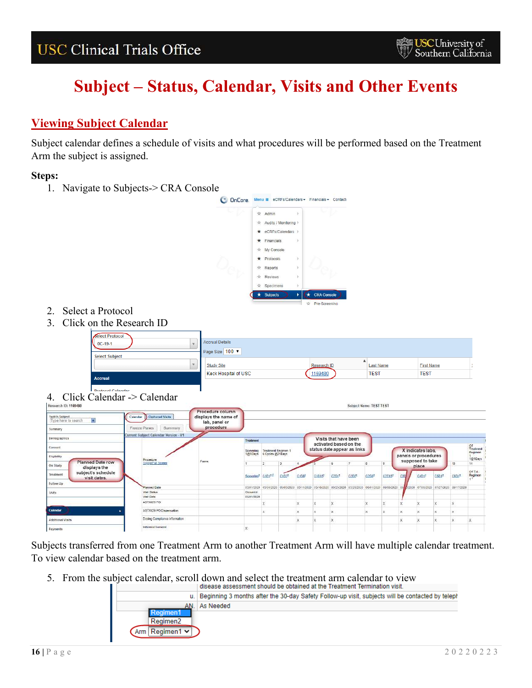# **Subject – Status, Calendar, Visits and Other Events**

### <span id="page-15-0"></span>**Viewing Subject Calendar**

Subject calendar defines a schedule of visits and what procedures will be performed based on the Treatment Arm the subject is assigned.

### **Steps:**

1. Navigate to Subjects-> CRA Console



- 2. Select a Protocol
- 3. Click on the Research ID



Subjects transferred from one Treatment Arm to another Treatment Arm will have multiple calendar treatment. To view calendar based on the treatment arm.

5. From the subject calendar, scroll down and select the treatment arm calendar to view<br>allows assessment should be obtained at the Treatment Termination visit.

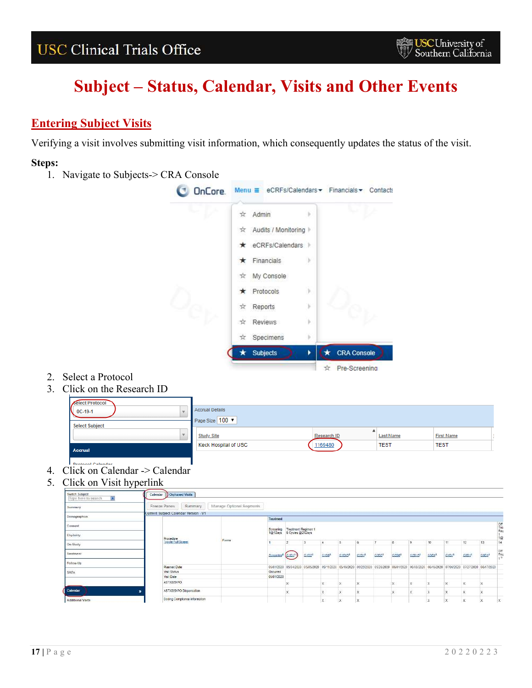# **Subject – Status, Calendar, Visits and Other Events**

### <span id="page-16-0"></span>**Entering Subject Visits**

Verifying a visit involves submitting visit information, which consequently updates the status of the visit.

### **Steps:**



- 2. Select a Protocol
- 3. Click on the Research ID

| <b>Contact Contact Contact Contact Contact Contact Contact Contact Contact Contact Contact Contact Contact Contact</b> |                             |             |                  |                   |
|------------------------------------------------------------------------------------------------------------------------|-----------------------------|-------------|------------------|-------------------|
| <b>Accrual</b>                                                                                                         | <b>Keck Hospital of USC</b> | 1169480     | <b>TEST</b>      | <b>TEST</b>       |
| $\rightarrow$                                                                                                          | <b>Study Site</b>           | Research ID | <b>Last Name</b> | <b>First Name</b> |
| <b>Select Subject</b>                                                                                                  | Page Size 100 V             |             |                  |                   |
| $\bigcup_{0 \text{C} - 19 - 1}$                                                                                        | <b>Accrual Details</b>      |             |                  |                   |
| Select Protocol                                                                                                        |                             |             |                  |                   |

- 4. Click on Calendar -> Calendar
- 5. Click on Visit hyperlink

| Switch Subject<br>$\mathbf{r}$<br>Type here to search |              | Calendar Dorphaned Visits             |                          |            |                                                           |                       |                   |                                             |                  |       |                       |                    |                   |                   |                   |                       |                                                                            |
|-------------------------------------------------------|--------------|---------------------------------------|--------------------------|------------|-----------------------------------------------------------|-----------------------|-------------------|---------------------------------------------|------------------|-------|-----------------------|--------------------|-------------------|-------------------|-------------------|-----------------------|----------------------------------------------------------------------------|
| Summary                                               | Freeze Panes | Summary                               | Manage Optional Segments |            |                                                           |                       |                   |                                             |                  |       |                       |                    |                   |                   |                   |                       |                                                                            |
|                                                       |              | Current Subject Calendar Version - V1 |                          |            |                                                           |                       |                   |                                             |                  |       |                       |                    |                   |                   |                   |                       |                                                                            |
| Demographics                                          |              |                                       |                          | Treatment  |                                                           |                       |                   |                                             |                  |       |                       |                    |                   |                   |                   |                       |                                                                            |
| Consent                                               |              |                                       |                          |            | Screening Treatment Regimen 1<br>1@1Days 6 Cycles @21Days |                       |                   |                                             |                  |       |                       |                    |                   |                   |                   |                       | or<br>Tree<br>Reg                                                          |
| Eligibility                                           |              | Procedure.                            | Forms                    |            |                                                           |                       |                   |                                             |                  |       |                       |                    |                   |                   |                   |                       | 1@                                                                         |
| On Study                                              |              | Toggle Full Screen                    |                          |            |                                                           | $\mathbf{B}$          | i 4               | is.                                         | is.              |       |                       | я                  | 10                | 11                | $12 -$            | 13                    | 14                                                                         |
| Treatment                                             |              |                                       |                          | Scraening- | C1D1-                                                     | C1D2 <sup>8</sup>     | C1DB <sup>6</sup> | $C1015^2$                                   | CD1 <sup>2</sup> | C202* | C2D8-                 | C2D15 <sup>2</sup> | C3D1 <sup>2</sup> | C4D1 <sup>2</sup> | CSD1 <sup>8</sup> | C6D1 <sup>2</sup>     | $\begin{array}{c}\n\text{or} \\ \text{Re}\,9 \\ \text{Im}\,9\n\end{array}$ |
| Follow-Up                                             |              |                                       |                          |            |                                                           |                       |                   |                                             |                  |       |                       |                    |                   |                   |                   |                       |                                                                            |
|                                                       |              | <b>Flanned Date</b>                   |                          | 05/01/2020 |                                                           | 05/04/2020 05/05/2020 |                   | 05/11/2020 05/16/2020 05/25/2020 05/26/2020 |                  |       | 06/01/2020 06/08/2020 |                    | 06/15/2020        | 07/08/2020        |                   | 07/27/2020 08/17/2020 |                                                                            |
| SAEs                                                  |              | <b>Visit Status</b>                   |                          | Occurred   |                                                           |                       |                   |                                             |                  |       |                       |                    |                   |                   |                   |                       |                                                                            |
|                                                       |              | Visit Date                            |                          | 05/01/2020 |                                                           |                       |                   |                                             |                  |       |                       |                    |                   |                   |                   |                       |                                                                            |
|                                                       |              | ASTX029 PO                            |                          |            |                                                           |                       | x                 |                                             | ×                |       |                       |                    |                   |                   | ×                 |                       |                                                                            |
| Calendar                                              |              | ASTX029 PO Dispensation               |                          |            | X.                                                        |                       | X                 | ÷×.                                         | ×                |       | и.                    |                    |                   |                   | ×                 | ×.                    |                                                                            |
| Additional Visits                                     |              | Desing Compliance information         |                          |            |                                                           |                       | ᄎ                 | JX.                                         | x                |       |                       |                    | ∽                 |                   | x                 |                       | $\times$                                                                   |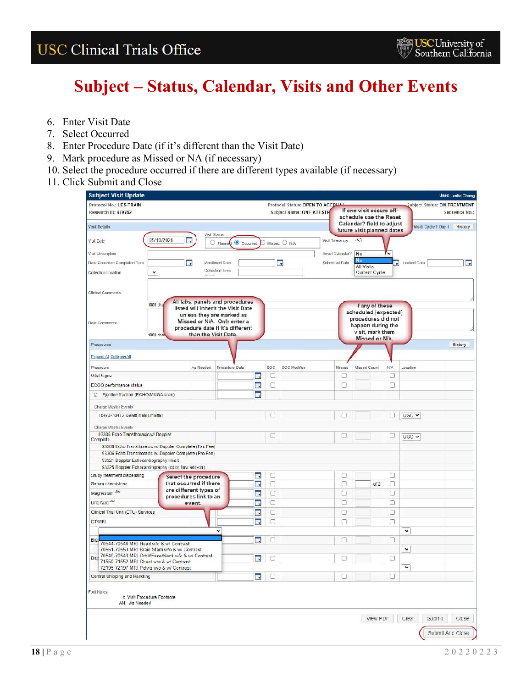- 6. Enter Visit Date
- 7. Select Occurred
- 8. Enter Procedure Date (if it's different than the Visit Date)
- 9. Mark procedure as Missed or NA (if necessary)
- 10. Select the procedure occurred if there are different types available (if necessary)
- 11. Click Submit and Close

| <b>Subject Visit Update</b><br>Protocol No.: LES-TRAIN                                           |                                                  |                                                                                                                                                                       |                                 | Protocol Status: OPEN TO ACCBUAL |                 |                                                                                    |        |             | Subject Status: ON TREATMENT |               |
|--------------------------------------------------------------------------------------------------|--------------------------------------------------|-----------------------------------------------------------------------------------------------------------------------------------------------------------------------|---------------------------------|----------------------------------|-----------------|------------------------------------------------------------------------------------|--------|-------------|------------------------------|---------------|
| Research ID: 979762                                                                              |                                                  |                                                                                                                                                                       |                                 | Subject Name: ONE KTESTH         |                 | If one visit occurs off-                                                           |        |             |                              | Sequence No.: |
|                                                                                                  |                                                  |                                                                                                                                                                       |                                 |                                  |                 | schedule use the Reset                                                             |        |             |                              |               |
| Visit Details                                                                                    |                                                  |                                                                                                                                                                       |                                 |                                  |                 | Calendar? field to adjust                                                          |        |             | Visit: Cycle 1 Day 1 History |               |
|                                                                                                  |                                                  | Visit Status                                                                                                                                                          |                                 |                                  |                 | future visit planned dates                                                         |        |             |                              |               |
| 05/10/2020<br>Visit Date                                                                         | 爵                                                | O Docurred<br>O Plannel                                                                                                                                               | $\supset$ Missed $\bigcirc$ N/A |                                  | Visit Tolerance | $+1-3$                                                                             |        |             |                              |               |
| Visit Description                                                                                |                                                  |                                                                                                                                                                       |                                 |                                  | Reset Calendar? | No                                                                                 |        |             |                              |               |
| Data Collection Completed Date                                                                   | 豒                                                | Monitored Date                                                                                                                                                        |                                 | 眠                                | Submitted Date  | No<br><b>All Visits</b>                                                            | B      | Locked Date |                              | ×,            |
| $\check{}$<br>Collection Location                                                                | minimi                                           | Collection Time                                                                                                                                                       |                                 |                                  |                 | Current Cycle                                                                      |        |             |                              |               |
| Clinical Comments                                                                                |                                                  |                                                                                                                                                                       |                                 |                                  |                 |                                                                                    |        |             |                              |               |
| 1000 cha<br>Data Comments                                                                        |                                                  | All labs, panels and procedures<br>listed will inherit the Visit Date<br>unless they are marked as<br>Missed or N/A. Only enter a<br>procedure date if it's different |                                 |                                  |                 | If any of these<br>scheduled (expected)<br>procedures did not<br>happen during the |        |             |                              |               |
| 1000 cha                                                                                         |                                                  | than the Visit Date.                                                                                                                                                  |                                 |                                  |                 | visit, mark them<br>Missed or N/A.                                                 |        |             |                              |               |
| Procedures                                                                                       |                                                  |                                                                                                                                                                       |                                 |                                  |                 |                                                                                    |        |             |                              | History       |
| Expand All Collapse All                                                                          |                                                  |                                                                                                                                                                       |                                 |                                  |                 |                                                                                    |        |             |                              |               |
| Procedure                                                                                        | As Needed                                        | Procedure Date                                                                                                                                                        | soc                             | SOC Modifier                     | Missed          | Missed Count                                                                       | NIA    | Location    |                              |               |
| Vital Signs                                                                                      |                                                  |                                                                                                                                                                       | O<br>Πÿ                         |                                  | O               |                                                                                    | u      |             |                              |               |
| ECOO performance status                                                                          |                                                  |                                                                                                                                                                       | O<br>思                          |                                  | о               |                                                                                    | o      |             |                              |               |
| [-] Ejection fraction (ECHO/MUGA scan)                                                           |                                                  |                                                                                                                                                                       | ۰.                              |                                  |                 |                                                                                    |        |             |                              |               |
| Charge Master Events                                                                             |                                                  |                                                                                                                                                                       |                                 |                                  |                 |                                                                                    |        |             |                              |               |
| 78472-78473 Gated Heart Planar                                                                   |                                                  |                                                                                                                                                                       | Π                               |                                  |                 |                                                                                    |        | USC v       |                              |               |
| Charge Master Events                                                                             |                                                  |                                                                                                                                                                       |                                 |                                  |                 |                                                                                    |        |             |                              |               |
| 93306 Echo Transthoracic w/ Doppler<br>Complete                                                  |                                                  |                                                                                                                                                                       | □                               |                                  | ┍               |                                                                                    | Ω      | $USC -$     |                              |               |
| 93306 Echo Transthoracic w/ Doppler Complete (Fac Fee)                                           |                                                  |                                                                                                                                                                       |                                 |                                  |                 |                                                                                    |        |             |                              |               |
| 93306 Echo Transthoracic w/ Doppler Complete (Pro Fee)                                           |                                                  |                                                                                                                                                                       |                                 |                                  |                 |                                                                                    |        |             |                              |               |
| 93321 Doppler Echocardiography Heart                                                             |                                                  |                                                                                                                                                                       |                                 |                                  |                 |                                                                                    |        |             |                              |               |
| 93325 Doppler Echocardiography (color flow add-on)                                               |                                                  |                                                                                                                                                                       |                                 |                                  |                 |                                                                                    |        |             |                              |               |
| Study treatment dispensing                                                                       | Select the procedure                             |                                                                                                                                                                       | 0<br>鷡                          |                                  | Ω               |                                                                                    | п      |             |                              |               |
| Serum chemistries                                                                                | that occurred if there<br>are different types of |                                                                                                                                                                       | 畫<br>0                          |                                  | o               | of 2                                                                               | □      |             |                              |               |
| Magnesium AV                                                                                     | procedures link to an                            |                                                                                                                                                                       | 郾<br>Ω                          |                                  | П               |                                                                                    | Ω      |             |                              |               |
| Uric Acid AN                                                                                     | event.                                           |                                                                                                                                                                       | 眼<br>$\Box$                     |                                  | O               |                                                                                    | ο      |             |                              |               |
| Clinical Trial Unit (CTU) Services                                                               |                                                  |                                                                                                                                                                       | 靏<br>$\Box$                     |                                  | O               |                                                                                    | $\Box$ |             |                              |               |
| CT/MRI                                                                                           |                                                  |                                                                                                                                                                       | Ω<br>團                          |                                  | п               |                                                                                    | ⊓      |             |                              |               |
|                                                                                                  |                                                  | v                                                                                                                                                                     |                                 |                                  |                 |                                                                                    |        | $\check{}$  |                              |               |
|                                                                                                  |                                                  |                                                                                                                                                                       |                                 |                                  |                 |                                                                                    |        |             |                              |               |
| Biop<br>70544-70546 MRI Head w/o & w/ Contrast                                                   |                                                  |                                                                                                                                                                       | 郾<br>П                          |                                  | г               |                                                                                    | Π      |             |                              |               |
| 70551-70553 MRI Brain Stem w/o & w/ Contrast                                                     |                                                  |                                                                                                                                                                       |                                 |                                  |                 |                                                                                    |        | $\check{}$  |                              |               |
| Big 70540-70543 MRI Orbit/Face/Neck w/o & w/ Contrast<br>71550-71552 MRI Chest w/o & w/ Contrast |                                                  |                                                                                                                                                                       | O<br>m,                         |                                  | г               |                                                                                    | □      |             |                              |               |
| 72195-72197 MRI Pelvis w/o & w/ Contrast                                                         |                                                  |                                                                                                                                                                       |                                 |                                  |                 |                                                                                    |        | $\check{ }$ |                              |               |
| Central Shipping and Handling                                                                    |                                                  |                                                                                                                                                                       | 靏<br>o                          |                                  | П               |                                                                                    | п      |             |                              |               |
| Foot Notes<br>c Visit Procedure Footnote                                                         |                                                  |                                                                                                                                                                       |                                 |                                  |                 |                                                                                    |        |             |                              |               |
| AN As Needed                                                                                     |                                                  |                                                                                                                                                                       |                                 |                                  |                 |                                                                                    |        |             |                              |               |
|                                                                                                  |                                                  |                                                                                                                                                                       |                                 |                                  |                 | View PDF                                                                           |        | Clear       | Submit                       | Close         |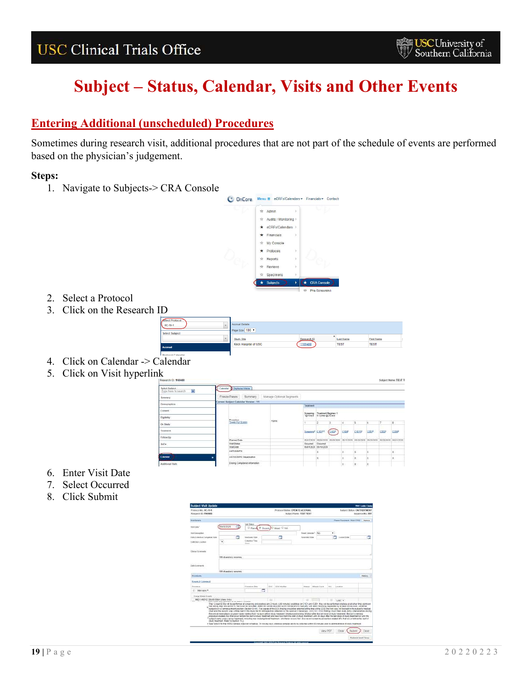# **Subject – Status, Calendar, Visits and Other Events**

### <span id="page-18-0"></span>**Entering Additional (unscheduled) Procedures**

Sometimes during research visit, additional procedures that are not part of the schedule of events are performed based on the physician's judgement.

### **Steps:**



- 2. Select a Protocol
- 3. Click on the Research ID

| ---                   |                             |             |             |                   |  |
|-----------------------|-----------------------------|-------------|-------------|-------------------|--|
| Select Protocol       |                             |             |             |                   |  |
| $0C-19-1$             | <b>Accrual Details</b>      |             |             |                   |  |
|                       | Page Size 100               |             |             |                   |  |
| <b>Select Subject</b> |                             |             |             |                   |  |
|                       | <b>Study Site</b>           | Research ID | Last Name   | <b>First Name</b> |  |
|                       | <b>Keck Hospital of USC</b> | 1169480     | <b>TEST</b> | <b>TEST</b>       |  |
| Accrual               |                             |             |             |                   |  |

- 4. Click on Calendar -> Calendar
- 5. Click on Visit hyperlink

| ROSOUTES S.C. 1165450                                   |                              |                                                              |                          |                                         |                                |                                                           |               |                |          |             | SLOKE NATH: JEST E    |  |
|---------------------------------------------------------|------------------------------|--------------------------------------------------------------|--------------------------|-----------------------------------------|--------------------------------|-----------------------------------------------------------|---------------|----------------|----------|-------------|-----------------------|--|
| Twitch Subject<br>Type hask to search<br>$\blacksquare$ | Conrola: Il Orphanod Visita- |                                                              |                          |                                         |                                |                                                           |               |                |          |             |                       |  |
| <b>Settemen</b>                                         | Freeze Panes                 | Summary                                                      | Manage Optional Segments |                                         |                                |                                                           |               |                |          |             |                       |  |
| <b>Петеодный се</b>                                     |                              | Cerrent Sebject Calendar Version V1                          |                          |                                         |                                |                                                           |               |                |          |             |                       |  |
|                                                         |                              |                                                              |                          | Treatment                               |                                |                                                           |               |                |          |             |                       |  |
| Consett.                                                |                              |                                                              |                          |                                         | Screening. Treatment Regimen 1 |                                                           |               |                |          |             |                       |  |
| Eliphilty                                               |                              | Procedure                                                    |                          |                                         | 1@10aux 6 Cycley @210aux       |                                                           |               |                |          |             |                       |  |
| On Study                                                |                              | Topple Fait Scient<br><b>STATISTICS</b>                      | POINTS.                  |                                         |                                |                                                           |               |                |          |             |                       |  |
| Treatment                                               |                              |                                                              |                          | Scanno <sup>3</sup> CIDI <sup>3-2</sup> |                                | <b>CADD</b>                                               | <b>CITIER</b> | CIDIST         | cans!    | <b>COUP</b> | case <sup>2</sup>     |  |
| Fellowitp                                               |                              | <b>CONSTRUCTION</b>                                          |                          |                                         |                                |                                                           |               |                | $-1 - 1$ |             |                       |  |
|                                                         |                              | Planned Date                                                 |                          |                                         |                                | respirate resolution storage states atmosphere statistics |               |                |          |             | 01/26/2020 05/91/2620 |  |
| SACA:                                                   | <b>Visit Stoke</b>           |                                                              |                          |                                         | Occurred Occurred              |                                                           |               |                |          |             |                       |  |
|                                                         | <b>Visit Date</b>            |                                                              |                          |                                         | 05012829 05/10/2028            |                                                           |               |                |          |             |                       |  |
|                                                         |                              | ASTX020 PO                                                   |                          |                                         |                                |                                                           |               |                |          |             |                       |  |
| Colombe                                                 | ٠                            | ARTX02R PO Disarrazion                                       |                          |                                         |                                |                                                           | x             | ×              |          |             |                       |  |
| Additional (988)                                        |                              | Dosno Consignos internatori<br>1 2 May 2012 May 2013 12:00 M |                          |                                         |                                |                                                           | x             | $\times$<br>17 | ٠        |             |                       |  |

- 6. Enter Visit Date
- 7. Select Occurred
- 8. Click Submit

| <b>Subject Visit Undate</b>                                                        |                                                                                                                                                                                                                                                                                                                                                                                                                                                                                                                                                                                                                                                                                                                                                                                                                                                                                                                                                                                                                                                                                                                                                                                                                                                                                                                                                                                                                                                                                                                                                 |                                 |          |                                   |                                       |              |                 |                    |                                           | <b>IBMI Leake Cham</b>    |
|------------------------------------------------------------------------------------|-------------------------------------------------------------------------------------------------------------------------------------------------------------------------------------------------------------------------------------------------------------------------------------------------------------------------------------------------------------------------------------------------------------------------------------------------------------------------------------------------------------------------------------------------------------------------------------------------------------------------------------------------------------------------------------------------------------------------------------------------------------------------------------------------------------------------------------------------------------------------------------------------------------------------------------------------------------------------------------------------------------------------------------------------------------------------------------------------------------------------------------------------------------------------------------------------------------------------------------------------------------------------------------------------------------------------------------------------------------------------------------------------------------------------------------------------------------------------------------------------------------------------------------------------|---------------------------------|----------|-----------------------------------|---------------------------------------|--------------|-----------------|--------------------|-------------------------------------------|---------------------------|
| President Mo.: BC: NS.1                                                            |                                                                                                                                                                                                                                                                                                                                                                                                                                                                                                                                                                                                                                                                                                                                                                                                                                                                                                                                                                                                                                                                                                                                                                                                                                                                                                                                                                                                                                                                                                                                                 |                                 |          | Protocol SSMAN (CIPEN TO ACCERDA) |                                       |              |                 |                    | <b>National Status: ON THEATMENT</b>      |                           |
| Nascence ED: THERED                                                                |                                                                                                                                                                                                                                                                                                                                                                                                                                                                                                                                                                                                                                                                                                                                                                                                                                                                                                                                                                                                                                                                                                                                                                                                                                                                                                                                                                                                                                                                                                                                                 |                                 |          |                                   | <b><i>SUSSIER RANGE TRAT TRAT</i></b> |              |                 |                    |                                           | <b>Bankairo's No. 881</b> |
| <b>High Lieuers</b>                                                                |                                                                                                                                                                                                                                                                                                                                                                                                                                                                                                                                                                                                                                                                                                                                                                                                                                                                                                                                                                                                                                                                                                                                                                                                                                                                                                                                                                                                                                                                                                                                                 |                                 |          |                                   |                                       |              |                 |                    | <b>Dieser Desember Visa: CHIL Periner</b> |                           |
| <b>Mart Liste<sup>4</sup></b>                                                      | nsatranas                                                                                                                                                                                                                                                                                                                                                                                                                                                                                                                                                                                                                                                                                                                                                                                                                                                                                                                                                                                                                                                                                                                                                                                                                                                                                                                                                                                                                                                                                                                                       | tot Styler<br><sup>C</sup> Fare | Document | U Mount C 144                     |                                       |              |                 |                    |                                           |                           |
| man Desawation                                                                     |                                                                                                                                                                                                                                                                                                                                                                                                                                                                                                                                                                                                                                                                                                                                                                                                                                                                                                                                                                                                                                                                                                                                                                                                                                                                                                                                                                                                                                                                                                                                                 |                                 |          |                                   | Base Crisers's                        | <b>Kin</b>   | ٠               |                    |                                           |                           |
| TOEN Collegalized Configuration Econo-                                             | m                                                                                                                                                                                                                                                                                                                                                                                                                                                                                                                                                                                                                                                                                                                                                                                                                                                                                                                                                                                                                                                                                                                                                                                                                                                                                                                                                                                                                                                                                                                                               | <b>Magillanes Conn.</b>         |          | F.                                | <b>Sunnyball Clier</b>                |              |                 | m<br>Listing Drive |                                           | ▫                         |
| TURYZION 1/VANIE                                                                   | ٠                                                                                                                                                                                                                                                                                                                                                                                                                                                                                                                                                                                                                                                                                                                                                                                                                                                                                                                                                                                                                                                                                                                                                                                                                                                                                                                                                                                                                                                                                                                                               | <b>Collective Tiles</b>         |          |                                   |                                       |              |                 |                    |                                           |                           |
| Clinical Currentes                                                                 |                                                                                                                                                                                                                                                                                                                                                                                                                                                                                                                                                                                                                                                                                                                                                                                                                                                                                                                                                                                                                                                                                                                                                                                                                                                                                                                                                                                                                                                                                                                                                 |                                 |          |                                   |                                       |              |                 |                    |                                           |                           |
|                                                                                    | 100 Valuated en la constitución                                                                                                                                                                                                                                                                                                                                                                                                                                                                                                                                                                                                                                                                                                                                                                                                                                                                                                                                                                                                                                                                                                                                                                                                                                                                                                                                                                                                                                                                                                                 |                                 |          |                                   |                                       |              |                 |                    |                                           |                           |
|                                                                                    |                                                                                                                                                                                                                                                                                                                                                                                                                                                                                                                                                                                                                                                                                                                                                                                                                                                                                                                                                                                                                                                                                                                                                                                                                                                                                                                                                                                                                                                                                                                                                 |                                 |          |                                   |                                       |              |                 |                    |                                           |                           |
| <b>Euto Goldnights</b>                                                             |                                                                                                                                                                                                                                                                                                                                                                                                                                                                                                                                                                                                                                                                                                                                                                                                                                                                                                                                                                                                                                                                                                                                                                                                                                                                                                                                                                                                                                                                                                                                                 |                                 |          |                                   |                                       |              |                 |                    |                                           |                           |
|                                                                                    |                                                                                                                                                                                                                                                                                                                                                                                                                                                                                                                                                                                                                                                                                                                                                                                                                                                                                                                                                                                                                                                                                                                                                                                                                                                                                                                                                                                                                                                                                                                                                 |                                 |          |                                   |                                       |              |                 |                    |                                           |                           |
|                                                                                    | 1950 di argebro al nomenseg-                                                                                                                                                                                                                                                                                                                                                                                                                                                                                                                                                                                                                                                                                                                                                                                                                                                                                                                                                                                                                                                                                                                                                                                                                                                                                                                                                                                                                                                                                                                    |                                 |          |                                   |                                       |              |                 |                    |                                           |                           |
| <b><i><u>RIGHTELINE</u></i></b>                                                    |                                                                                                                                                                                                                                                                                                                                                                                                                                                                                                                                                                                                                                                                                                                                                                                                                                                                                                                                                                                                                                                                                                                                                                                                                                                                                                                                                                                                                                                                                                                                                 |                                 |          |                                   |                                       |              |                 |                    |                                           | <b>ANARACI</b>            |
| <b>Expose 40 College 40</b>                                                        |                                                                                                                                                                                                                                                                                                                                                                                                                                                                                                                                                                                                                                                                                                                                                                                                                                                                                                                                                                                                                                                                                                                                                                                                                                                                                                                                                                                                                                                                                                                                                 |                                 |          |                                   |                                       |              |                 |                    |                                           |                           |
| Foccasas                                                                           |                                                                                                                                                                                                                                                                                                                                                                                                                                                                                                                                                                                                                                                                                                                                                                                                                                                                                                                                                                                                                                                                                                                                                                                                                                                                                                                                                                                                                                                                                                                                                 | <b>Procedure Date</b>           | 9310     | SOCHNOSA!                         | <b>Hillando</b>                       | Missed Court | to a            | <b>Location</b>    |                                           |                           |
| ET. Wallows                                                                        |                                                                                                                                                                                                                                                                                                                                                                                                                                                                                                                                                                                                                                                                                                                                                                                                                                                                                                                                                                                                                                                                                                                                                                                                                                                                                                                                                                                                                                                                                                                                                 | п                               |          |                                   |                                       |              |                 |                    |                                           |                           |
| Change Moster Events                                                               |                                                                                                                                                                                                                                                                                                                                                                                                                                                                                                                                                                                                                                                                                                                                                                                                                                                                                                                                                                                                                                                                                                                                                                                                                                                                                                                                                                                                                                                                                                                                                 |                                 |          |                                   |                                       |              |                 |                    |                                           |                           |
| 89211-99212, Gold St EAM (Visit Only)<br>" Think is a selected to make a design of |                                                                                                                                                                                                                                                                                                                                                                                                                                                                                                                                                                                                                                                                                                                                                                                                                                                                                                                                                                                                                                                                                                                                                                                                                                                                                                                                                                                                                                                                                                                                                 |                                 |          |                                   |                                       |              |                 | <b>LISC #</b>      |                                           |                           |
|                                                                                    | The 12-load ECOs vill be performed at screening and predice and 2 hours (±30 minutes) problems on C1D1 and C2D1; they will be performed cradines at all other bries points and<br>the doing days and at the T.: Terrs visit as a picable. All EC fix will be recorded at 25 mm/secared in ripricate, with each recording separated by at least 30 seconds, wither<br>radised in in extrimes them socion (Section SI-44). This copies of the SCO tracing that of be obtained at the time of the SCO, the firm capy will be kept in the subject a resolute<br>chart and the record topy off he test in the study file for relessanche collection by the sponse threseoven. Dr. CIO1. CCO findings must meet study entry criteria before disting.<br>Record all medications a subject takes starting from 14 days before study resolvent inflation and writing 30 disploiter the last done of study teratrient. Record screening-<br>procedure related AEs that occur before the start of study traditional and new AEs from the start of study traditions until 30 days after the jast does of study traditions of study traditional<br>retired statis a new carrier beatment including new investigational transfer witchever occurs first. Also neces screening procedure related ADs that socur behind the start of<br>15x5 Isaabsort Hafarts Sodian 19.2<br>7. See Table II for the chill VA running collection kichedule. The box ing days: creations complex are bolos collected subjects for the box on enterimination of study tradewisi- |                                 |          |                                   |                                       |              | <b>View PDF</b> | Clear              | <b>Subrit</b>                             | <b>Close</b>              |
|                                                                                    |                                                                                                                                                                                                                                                                                                                                                                                                                                                                                                                                                                                                                                                                                                                                                                                                                                                                                                                                                                                                                                                                                                                                                                                                                                                                                                                                                                                                                                                                                                                                                 |                                 |          |                                   |                                       |              |                 |                    |                                           |                           |
|                                                                                    |                                                                                                                                                                                                                                                                                                                                                                                                                                                                                                                                                                                                                                                                                                                                                                                                                                                                                                                                                                                                                                                                                                                                                                                                                                                                                                                                                                                                                                                                                                                                                 |                                 |          |                                   |                                       |              |                 |                    | School And Clean                          |                           |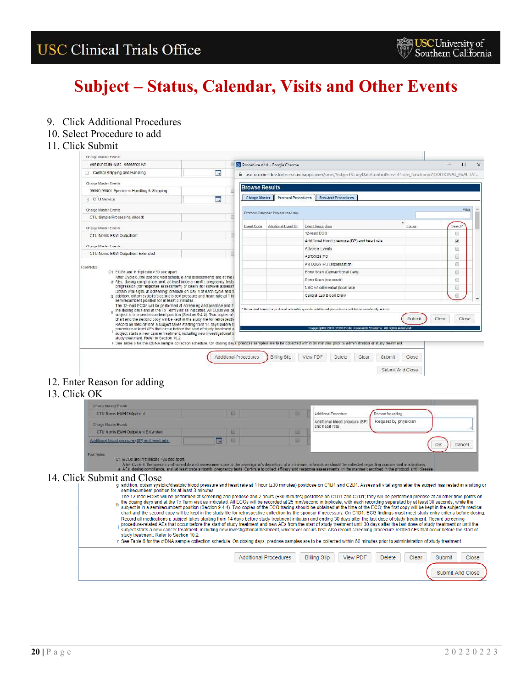# **Subject – Status, Calendar, Visits and Other Events**

9. Click Additional Procedures

#### 10. Select Procedure to add

#### 11. Click Submit

| Charge Master Events                                                                                                                               |    |                       |                                   |                                                                                                                                                                           |       |                 |
|----------------------------------------------------------------------------------------------------------------------------------------------------|----|-----------------------|-----------------------------------|---------------------------------------------------------------------------------------------------------------------------------------------------------------------------|-------|-----------------|
| Venipuncture Misc. Research Kit                                                                                                                    |    |                       | Procedure Add - Google Chrome     |                                                                                                                                                                           |       | ⋍<br>$\Box$     |
| [-] Central Shipping and Handling                                                                                                                  | m, |                       |                                   | a usc-oncore-dev.forteresearchapps.com/smrs/5ubject5tudyDataControlServlet?hdn_function=ADDITIONAL EVALUAT                                                                |       |                 |
| Charge Master Events                                                                                                                               |    | <b>Browse Results</b> |                                   |                                                                                                                                                                           |       |                 |
| 99000-99001 Specimen Handling & Shipping                                                                                                           |    |                       |                                   |                                                                                                                                                                           |       |                 |
| [4] CTU Service                                                                                                                                    | 雨  | <b>Charge Master</b>  | <b>Protocol Procedures</b>        | <b>Free-text Procedures</b>                                                                                                                                               |       |                 |
| Charge Master Events                                                                                                                               |    |                       | Protocol Calendar Procedures/Labs |                                                                                                                                                                           |       | Filter:         |
| CTU Simple Processing (blood)                                                                                                                      |    |                       |                                   |                                                                                                                                                                           |       |                 |
| Charge Master Events                                                                                                                               |    | Event Code            | Additional Event ID               | <b>Event Description</b>                                                                                                                                                  | Forms | Select?         |
| CTU Norris E&M Outpatient                                                                                                                          |    |                       |                                   | 12-lead ECG                                                                                                                                                               |       |                 |
| Charge Master Events                                                                                                                               |    |                       |                                   | Additional blood pressure (BP) and heart rate                                                                                                                             |       | v               |
| CTU Norris E&M Outpatient Extended                                                                                                                 |    |                       |                                   | Adverse Events                                                                                                                                                            |       | 69              |
|                                                                                                                                                    |    |                       |                                   | ASTX029 PO                                                                                                                                                                |       | 面               |
| Foot Notes                                                                                                                                         |    |                       |                                   | ASTX029 PO Dispensation                                                                                                                                                   |       | Θ               |
| C1 ECGs are in triplicate >30 sec apart.<br>After Cycle 6, the specific visit schedule and assessments are at the                                  |    |                       |                                   | Bone Scan (Conventional Care)                                                                                                                                             |       |                 |
| a AEs, dosing compliance, and, at least once a month, pregnancy tests                                                                              |    |                       |                                   | Bone Scan (research)                                                                                                                                                      |       |                 |
| progression (for response assessment) or death (for survival assessn<br>Obtain vital signs at screening; predose on Day 1 of each cycle and o      |    |                       |                                   | CBC w/ differential (local lab)                                                                                                                                           |       | ₿               |
| g addition, obtain systolic/diastolic blood pressure and heart rate at 1 hi<br>semirecumbent position for at least 3 minutes.                      |    |                       |                                   | Central Lab Blood Draw                                                                                                                                                    |       | $\overline{11}$ |
| The 12-lead ECGs will be performed at screening and predose and 2<br>n the dosing days and at the Tx Term visit as indicated. All ECGs will be     |    |                       |                                   | * Herns and forms for protocol calendar specific additional procedures will be automatically added                                                                        |       |                 |
| subject is in a semirecumbent position (Section 9.4.4). Two copies of<br>chart and the second copy will be kept in the study file for retrospectiv |    |                       |                                   |                                                                                                                                                                           | Submi | Clear<br>Close  |
| Record all medications a subject takes starting from 14 days before a                                                                              |    |                       |                                   |                                                                                                                                                                           |       |                 |
| procedure-related AEs that occur before the start of study treatment a<br>subject starts a new cancer treatment, including new investigational ti  |    |                       |                                   | Copyright D 2001-2020 Forte Research Systems, All rights reserved                                                                                                         |       |                 |
| study treatment. Refer to Section 10.2.                                                                                                            |    |                       |                                   | r See Table 6 for the ctDNA sample collection schedule. On dosing days, predose samples are to be collected within 60 minutes prior to administration of study treatment. |       |                 |
|                                                                                                                                                    |    |                       |                                   |                                                                                                                                                                           |       |                 |
|                                                                                                                                                    |    | Additional Procedures | Billing Slip                      | View PDF<br>Delete<br>Clear<br>Submit                                                                                                                                     | Close |                 |
|                                                                                                                                                    |    |                       |                                   |                                                                                                                                                                           |       |                 |

### 12. Enter Reason for adding

### 13. Click OK

|   |                                                | 담   | Additional Procedure                             | Reason for adding                                                                                                                                                                                                                                                                                                                                                                                                                                                                                                                                                                                                                                                                                                                                                                                                                                                                                                                                                                                                                                                                                                                                                                                                                                                                                                        |
|---|------------------------------------------------|-----|--------------------------------------------------|--------------------------------------------------------------------------------------------------------------------------------------------------------------------------------------------------------------------------------------------------------------------------------------------------------------------------------------------------------------------------------------------------------------------------------------------------------------------------------------------------------------------------------------------------------------------------------------------------------------------------------------------------------------------------------------------------------------------------------------------------------------------------------------------------------------------------------------------------------------------------------------------------------------------------------------------------------------------------------------------------------------------------------------------------------------------------------------------------------------------------------------------------------------------------------------------------------------------------------------------------------------------------------------------------------------------------|
|   |                                                |     | Additional blood pressure (BP)<br>and heart rate | Request by physician                                                                                                                                                                                                                                                                                                                                                                                                                                                                                                                                                                                                                                                                                                                                                                                                                                                                                                                                                                                                                                                                                                                                                                                                                                                                                                     |
|   |                                                | Ш   |                                                  |                                                                                                                                                                                                                                                                                                                                                                                                                                                                                                                                                                                                                                                                                                                                                                                                                                                                                                                                                                                                                                                                                                                                                                                                                                                                                                                          |
| B |                                                | 日   |                                                  | Cancel<br>OK                                                                                                                                                                                                                                                                                                                                                                                                                                                                                                                                                                                                                                                                                                                                                                                                                                                                                                                                                                                                                                                                                                                                                                                                                                                                                                             |
|   |                                                |     |                                                  | Record all medications a subject takes starting from 14 days before study treatment initiation and ending 30 days after the last dose of study treatment. Record screening                                                                                                                                                                                                                                                                                                                                                                                                                                                                                                                                                                                                                                                                                                                                                                                                                                                                                                                                                                                                                                                                                                                                               |
|   | semirecumbent position for at least 3 minutes. | - 四 |                                                  | After Cycle 6, the specific visit schedule and assessments are at the investigator's discretion; at a minimum, information should be collected regarding concomitant medications.<br>a AEs dosing compliance, and, at least once a month pregnancy tests. Continue to collect efficacy and response assessments in the manner described in the protocol until disease<br>g addition, obtain systolic/diastolic blood pressure and heart rate at 1 hour (±30 minutes) postdose on C1D1 and C2D1. Assess all vital signs after the subject has rested in a sitting or<br>The 12-lead ECGs will be performed at screening and predose and 2 hours (±30 minutes) postdose on C1D1 and C2D1; they will be performed predose at all other time points on<br>the dosing days and at the Tx Term visit as indicated. All ECGs will be recorded at 25 mm/second in triplicate, with each recording separated by at least 30 seconds, while the<br>subject is in a semirecumbent position (Section 9.4.4). Two copies of the ECG tracing should be obtained at the time of the ECG; the first copy will be kept in the subject's medical<br>chart and the second copy will be kept in the study file for retrospective collection by the sponsor if necessary. On C1D1, ECG findings must meet study entry criteria before dosing. |

| <b>Additional Procedures</b> | <b>Billing Slip</b> | View PDF | <b>Delete</b> | Clear | Submit | <b>Close</b>     |  |
|------------------------------|---------------------|----------|---------------|-------|--------|------------------|--|
|                              |                     |          |               |       |        | Submit And Close |  |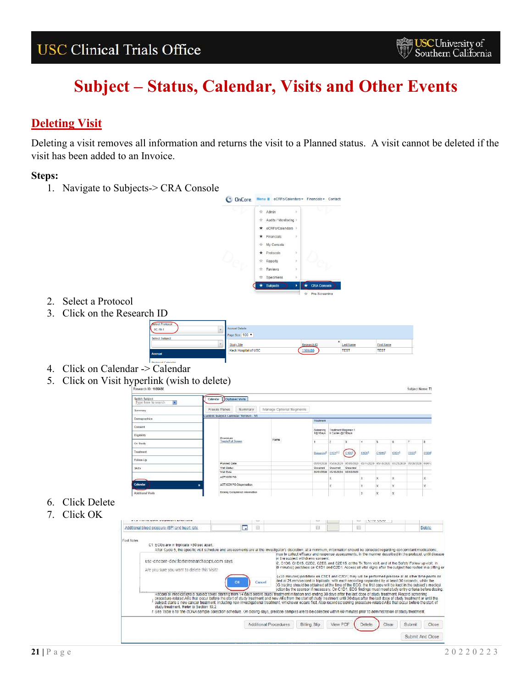## <span id="page-20-0"></span>**Deleting Visit**

Deleting a visit removes all information and returns the visit to a Planned status. A visit cannot be deleted if the visit has been added to an Invoice.

### **Steps:**



- 2. Select a Protocol
- 3. Click on the Research ID

| Select Protocol<br>OC-19-1 | Accrual Details<br>Page Size 100 |             |                  |                   |  |
|----------------------------|----------------------------------|-------------|------------------|-------------------|--|
| <b>Select Subject</b>      |                                  |             |                  |                   |  |
|                            | <b>Study Site</b>                | Research ID | <b>Last Name</b> | <b>First Name</b> |  |
| <b>Accrual</b>             | <b>Keck Hospital of USC</b>      | 1169480     | <b>TEST</b>      | <b>TEST</b>       |  |

- **Drotogol** 4. Click on Calendar -> Calendar
- 5. Click on Visit hyperlink (wish to delete)



- 6. Click Delete
- 7. Click OK

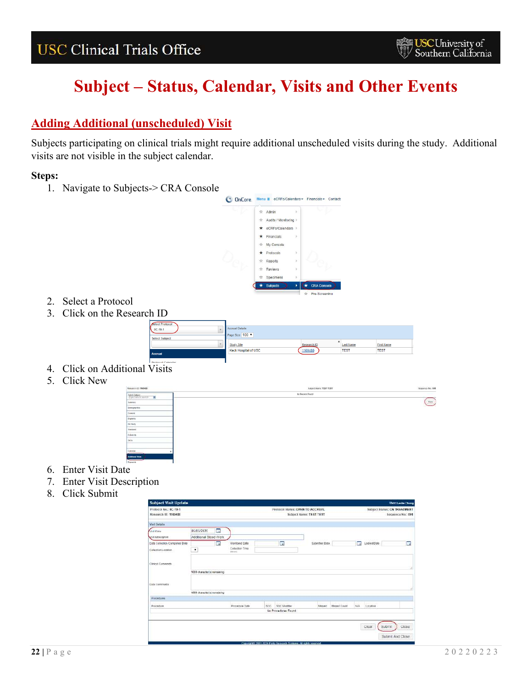# **Subject – Status, Calendar, Visits and Other Events**

### <span id="page-21-0"></span>**Adding Additional (unscheduled) Visit**

Subjects participating on clinical trials might require additional unscheduled visits during the study. Additional visits are not visible in the subject calendar.

### **Steps:**



- 2. Select a Protocol
- 3. Click on the Research ID

| Accrual               |                                                  |                        |                                 |                                  |  |
|-----------------------|--------------------------------------------------|------------------------|---------------------------------|----------------------------------|--|
|                       | <b>Study Site</b><br><b>Keck Hospital of USC</b> | Research ID<br>1169480 | <b>Last Name</b><br><b>TEST</b> | <b>First Name</b><br><b>TEST</b> |  |
| <b>Select Subject</b> | Page Size 100                                    |                        |                                 |                                  |  |
| $0C-19-1$             | Accrual Details                                  |                        |                                 |                                  |  |
| Select Protocol       |                                                  |                        |                                 |                                  |  |

- 4. Click on Additional Visits
- 5. Click New



- 6. Enter Visit Date
- 7. Enter Visit Description
- 8. Click Submit

| <b>Subject Visit Update</b>                   |                             |   |                            |      |                                                                       |                         |              |                          |                 | <b>User: Leslie Chung</b>                         |  |
|-----------------------------------------------|-----------------------------|---|----------------------------|------|-----------------------------------------------------------------------|-------------------------|--------------|--------------------------|-----------------|---------------------------------------------------|--|
| Protocol No.: 0C-19-1<br>Research ID: 1169480 |                             |   |                            |      | Protocol Status: OPEN TO ACCRUAL                                      | Subject Name: TEST TEST |              |                          |                 | Subject Status; ON TREATMENT<br>Sequence No.: 001 |  |
| <b>And Details</b>                            |                             |   |                            |      |                                                                       |                         |              |                          |                 |                                                   |  |
| <b>Akt Date</b>                               | 05/05/2020                  | E |                            |      |                                                                       |                         |              |                          |                 |                                                   |  |
| Isk Description                               | Additional Blood Work       |   |                            |      |                                                                       |                         |              |                          |                 |                                                   |  |
| Jata Collection Completed Date                |                             | п | Monitored Date             |      | ÷                                                                     | Submitted Date          |              | $\overline{\phantom{a}}$ | Locked Date     | m                                                 |  |
| Collection Location                           | $\overline{\phantom{a}}$    |   | Collection Time<br>direct) |      |                                                                       |                         |              |                          |                 |                                                   |  |
| <b>Sinical Comments</b>                       |                             |   |                            |      |                                                                       |                         |              |                          |                 |                                                   |  |
|                                               | 1010 character(s) remaining |   |                            |      |                                                                       |                         |              |                          |                 |                                                   |  |
| Jata Coermants                                |                             |   |                            |      |                                                                       |                         |              |                          |                 |                                                   |  |
|                                               | 1000 character(s) remaining |   |                            |      |                                                                       |                         |              |                          |                 |                                                   |  |
| Procedures                                    |                             |   |                            |      |                                                                       |                         |              |                          |                 |                                                   |  |
| Procedure                                     |                             |   | Procedure Date             | SOC. | <b>SOC Worlden</b>                                                    | <b>Missed</b>           | Missed Count | NW.                      | Location        |                                                   |  |
|                                               |                             |   |                            |      | No Procedures Found                                                   |                         |              |                          |                 |                                                   |  |
|                                               |                             |   |                            |      |                                                                       |                         |              |                          |                 |                                                   |  |
|                                               |                             |   |                            |      |                                                                       |                         |              |                          | Clear<br>Submit | Close                                             |  |
|                                               |                             |   |                            |      |                                                                       |                         |              |                          |                 |                                                   |  |
|                                               |                             |   |                            |      |                                                                       |                         |              |                          |                 | Submit And Close                                  |  |
|                                               |                             |   |                            |      | Conceptants 2003; 2014; Code Departure, Captains, 48 public processes |                         |              |                          |                 |                                                   |  |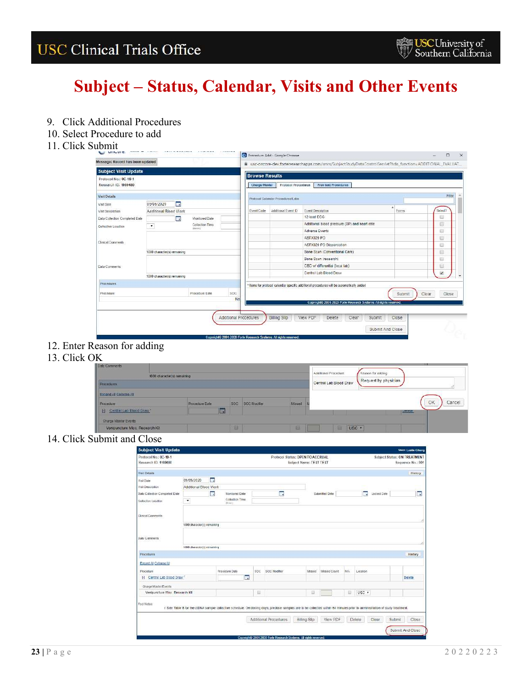# **Subject – Status, Calendar, Visits and Other Events**

- 9. Click Additional Procedures
- 10. Select Procedure to add
- 11. Click Submit

| Message: Record has been updated |                             |                 |                       |                       |                                   | Lusc-oncore-dev.forteresearchapps.com/smrs/SubjectStudyDataControlServlet?hdn_function=ADDITIONAL_EVALUAT |                  |         |
|----------------------------------|-----------------------------|-----------------|-----------------------|-----------------------|-----------------------------------|-----------------------------------------------------------------------------------------------------------|------------------|---------|
| <b>Subject Visit Update</b>      |                             |                 |                       |                       |                                   |                                                                                                           |                  |         |
| Protocol No.: 0C-19-1            |                             |                 |                       | <b>Browse Results</b> |                                   |                                                                                                           |                  |         |
| Research ID: 1169480             |                             |                 |                       | Charge Master         | Protocol Procedures               | Free-text Procedures                                                                                      |                  |         |
| Visit Details                    |                             |                 |                       |                       | Protocol Calondar Proceduread abs |                                                                                                           |                  | Filter  |
| Visit Date                       | 司<br>05/05/2020             |                 |                       |                       |                                   |                                                                                                           | ٠                |         |
| Visit Description                | Additional Blood Work       |                 |                       | Event Code            | Additional Event ID               | <b>Event Description</b>                                                                                  | Forms            | Select? |
| Data Collection Completed Date   | m                           | Manifored Date  |                       |                       |                                   | 12-lead ECG                                                                                               |                  | Ū       |
| Collection Location              | $\bullet$                   | Collection Time |                       |                       |                                   | Additional blood pressure (BP) and heart rate                                                             |                  | Ë       |
|                                  |                             | division.       |                       |                       |                                   | Adverse Events                                                                                            |                  | Ü       |
|                                  |                             |                 |                       |                       |                                   | ASTX029 PO                                                                                                |                  | U)      |
| Clinical Comments                |                             |                 |                       |                       |                                   | ASTX029 PO Dispensation                                                                                   |                  | 珊       |
|                                  | 1000 character(s) remaining |                 |                       |                       |                                   | Bone Scan (Conventional Care)                                                                             |                  | Ū       |
|                                  |                             |                 |                       |                       |                                   | Bone Scan (research)                                                                                      |                  | 讻       |
| Data Comments                    |                             |                 |                       |                       |                                   | CBC w/ differential (local lab)                                                                           |                  | ü       |
|                                  | 1000 character(s) remaining |                 |                       |                       |                                   | Central Lab Blood Draw                                                                                    |                  | V       |
| Procedures                       |                             |                 |                       |                       |                                   | * Items for protocol calendar specific additional procedures will be automatically added                  |                  |         |
| Procedure                        |                             | Procedure Date  | SOC                   |                       |                                   |                                                                                                           | Submit<br>Clear  | Close   |
|                                  |                             |                 | No                    |                       |                                   |                                                                                                           |                  |         |
|                                  |                             |                 |                       |                       |                                   | Copyright® 2001-2020 Forte Research Systems. All rights reserved.                                         |                  |         |
|                                  |                             |                 | Additional Procedures |                       |                                   | View PDF                                                                                                  | Close            |         |
|                                  |                             |                 |                       |                       | <b>Billing Slip</b>               | Delete<br>Clear<br>Submit                                                                                 |                  |         |
|                                  |                             |                 |                       |                       |                                   |                                                                                                           | Submit And Close |         |

12. Enter Reason for adding

### 13. Click OK

| <b>Data Comments</b>                              |                             |                       |     |              |        |                        |                       |              |
|---------------------------------------------------|-----------------------------|-----------------------|-----|--------------|--------|------------------------|-----------------------|--------------|
|                                                   | 1000 character(s) remaining |                       |     |              |        | Additional Procedure   | Reason for adding     |              |
| <b>Frocedures</b>                                 |                             |                       |     |              |        | Central Lab Blood Draw | Request by physician. |              |
| Expand All Collages All                           |                             |                       |     |              |        |                        |                       |              |
| Procedure                                         |                             | <b>Procedure Dale</b> | SOC | SOC Modifier | Missed |                        |                       | OK<br>Cancel |
| Centre! Lab Blood Draw!<br>$\left  \cdot \right $ |                             | <b>Ford</b>           |     |              |        |                        |                       | LIMINE       |
| Charge Maeter Events                              |                             |                       |     |              |        |                        |                       |              |
| Venigundure Misc. Research Kit                    |                             |                       | 面   |              | 画      | USC .<br><b>AI</b>     |                       |              |

#### 14. Click Submit and Close

| <b>Subject Visit Update</b>           |                             |                |                                                                                                                                                                           |     |                                                                   |                                  |                |     |          |             |        | <b>User: Leslie Chung</b>           |
|---------------------------------------|-----------------------------|----------------|---------------------------------------------------------------------------------------------------------------------------------------------------------------------------|-----|-------------------------------------------------------------------|----------------------------------|----------------|-----|----------|-------------|--------|-------------------------------------|
| Protocol No.: 0C-19-1                 |                             |                |                                                                                                                                                                           |     |                                                                   | Protocol Status: OPEN TO ACCRUAL |                |     |          |             |        | <b>Subject Status: ON TREATMENT</b> |
| Research ID: 1169480                  |                             |                |                                                                                                                                                                           |     |                                                                   | Subject Name: TEST TEST          |                |     |          |             |        | Sequence No.: 001                   |
| <b>Visit Details</b>                  |                             |                |                                                                                                                                                                           |     |                                                                   |                                  |                |     |          |             |        | History                             |
| <b>Weit Date</b>                      | 05/05/2020                  | æ              |                                                                                                                                                                           |     |                                                                   |                                  |                |     |          |             |        |                                     |
| <b>Mail Description</b>               | Additional Blood Work       |                |                                                                                                                                                                           |     |                                                                   |                                  |                |     |          |             |        |                                     |
| <b>Bata Collection Completed Date</b> |                             | $\blacksquare$ | Monitored Date                                                                                                                                                            |     | π                                                                 |                                  | Submitted Date |     | 雨        | Locked Date |        | Ŧ                                   |
| Collection Location                   | $\pmb{\mathrm{v}}$          |                | Collection Time<br>diam'r.                                                                                                                                                |     |                                                                   |                                  |                |     |          |             |        |                                     |
|                                       |                             |                |                                                                                                                                                                           |     |                                                                   |                                  |                |     |          |             |        |                                     |
| Clinical Comments                     |                             |                |                                                                                                                                                                           |     |                                                                   |                                  |                |     |          |             |        |                                     |
|                                       | 1000 character(s) remaining |                |                                                                                                                                                                           |     |                                                                   |                                  |                |     |          |             |        |                                     |
| <b>Data Comments</b>                  |                             |                |                                                                                                                                                                           |     |                                                                   |                                  |                |     |          |             |        |                                     |
|                                       | 1000 character(s) remaining |                |                                                                                                                                                                           |     |                                                                   |                                  |                |     |          |             |        |                                     |
| <b>Procedures</b>                     |                             |                |                                                                                                                                                                           |     |                                                                   |                                  |                |     |          |             |        | History                             |
| Expand All Collages All               |                             |                |                                                                                                                                                                           |     |                                                                   |                                  |                |     |          |             |        |                                     |
| Procedure                             |                             |                | Procedure Date                                                                                                                                                            | SOC | SOC Modifier                                                      | Missed                           | Missed Count   | N/A | Location |             |        |                                     |
| [-] Central Lab Blood Draw"           |                             |                | T.                                                                                                                                                                        |     |                                                                   |                                  |                |     |          |             |        | Delete                              |
| Charge Master Events                  |                             |                |                                                                                                                                                                           |     |                                                                   |                                  |                |     |          |             |        |                                     |
| Venipuncture Misc Research Kit        |                             |                |                                                                                                                                                                           | 匪   |                                                                   | 园                                |                | Đ   | USC *    |             |        |                                     |
| Foot Notes                            |                             |                | r See Table 6 for the ctDNA sample collection schedule. On dosing days, predose samples are to be collected within 60 minutes prior to administration of study treatment. |     |                                                                   |                                  |                |     |          |             |        |                                     |
|                                       |                             |                |                                                                                                                                                                           |     | Additional Procedures                                             | <b>Billing Slip</b>              | View PDF       |     | Delete   | Clear       | Submit | Close                               |
|                                       |                             |                |                                                                                                                                                                           |     |                                                                   |                                  |                |     |          |             |        | Submit And Close                    |
|                                       |                             |                |                                                                                                                                                                           |     | Copyright® 2001-2020 Forte Research Systems. All rights reserved. |                                  |                |     |          |             |        |                                     |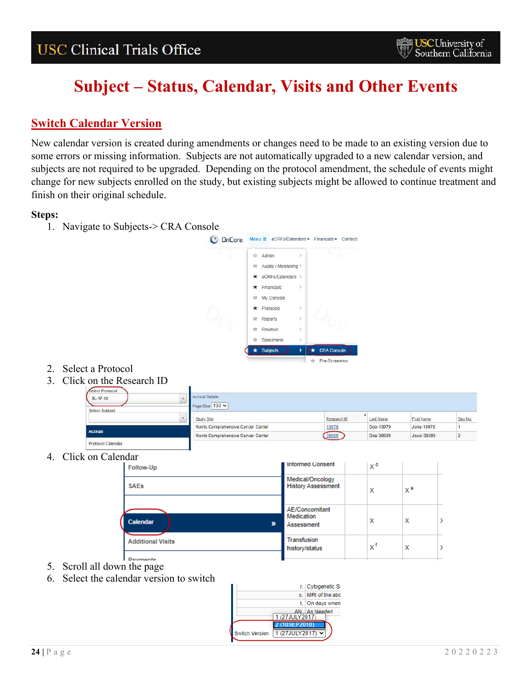# **Subject – Status, Calendar, Visits and Other Events**

### <span id="page-23-0"></span>**Switch Calendar Version**

New calendar version is created during amendments or changes need to be made to an existing version due to some errors or missing information. Subjects are not automatically upgraded to a new calendar version, and subjects are not required to be upgraded. Depending on the protocol amendment, the schedule of events might change for new subjects enrolled on the study, but existing subjects might be allowed to continue treatment and finish on their original schedule.

### **Steps:**

1. Navigate to Subjects-> CRA Console

![](_page_23_Picture_7.jpeg)

- 2. Select a Protocol
- 3. Click on the Research ID

| Select Protocol<br>$9L - 17 - 10$ | Accrual Details<br>Page Size 100 V |             |           |             |         |
|-----------------------------------|------------------------------------|-------------|-----------|-------------|---------|
| Select Subject                    | Study Sile                         | Research ID | Last Name | First Name  | Seg No. |
|                                   | Norris Comprehensive Cancer Center | 13979       | Doe-13979 | Jane-13979  |         |
| Accrual                           | Norris Comprehensive Cancer Center | 39699       | Doe-39699 | Jessi-39699 |         |
| Protocol Calendar                 |                                    |             |           |             |         |

4. Click on Calendar

| Follow-Up                |   | I Informed Consent                            | χd |    |  |
|--------------------------|---|-----------------------------------------------|----|----|--|
| <b>SAEs</b>              |   | Medical/Oncology<br><b>History Assessment</b> | х  | хª |  |
| Calendar                 | ≫ | AE/Concomitant<br>Medication<br>Assessment    | х  | х  |  |
| <b>Additional Visits</b> |   | Transfusion<br>history/status                 | xf | х  |  |
| .                        |   |                                               |    |    |  |

- 5. Scroll all down the page
- 6. Select the calendar version to switch

![](_page_23_Figure_15.jpeg)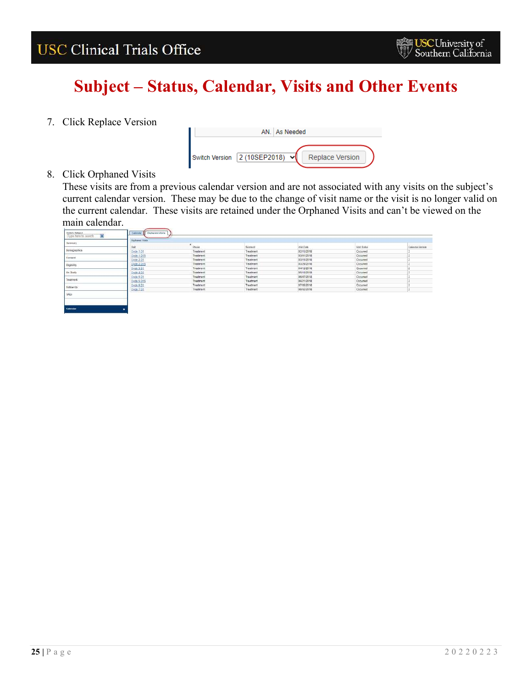## **Subject – Status, Calendar, Visits and Other Events**

7. Click Replace Version

![](_page_24_Figure_4.jpeg)

8. Click Orphaned Visits

These visits are from a previous calendar version and are not associated with any visits on the subject's current calendar version. These may be due to the change of visit name or the visit is no longer valid on the current calendar. These visits are retained under the Orphaned Visits and can't be viewed on the main calendar.

|              | <b>Charlessed Visits</b> |            |                                                      |            |                                               |                  |
|--------------|--------------------------|------------|------------------------------------------------------|------------|-----------------------------------------------|------------------|
| Sammary.     |                          | Phase      | <b>CARD COM</b><br>Segment                           | VSHLDate   | Visit Status                                  | Calendar Version |
| Demographics | <b>You</b>               |            |                                                      |            |                                               |                  |
|              | Cycle 1D1                | Treatment  | Treatment                                            | 02/15/2018 | Occurred.                                     |                  |
| Consent      | Cycle 1 (215)            | Treatment  | Treatment                                            | 03/01/2018 | Occurred                                      |                  |
|              | Cycle 2 (31)             | Treatment  | Treatment                                            | 03/15/2018 | Occurred                                      |                  |
| Bigitility   | Eyde 2 015               | Treatment  | <b>Treatment</b><br>a la carte del continuamento     | 03/29/2018 | Occurred                                      |                  |
|              | Caple 3 D1               | Treatment  | Treatment<br>present and in the first and profession | 94/12/2018 | Occurred<br>and he was an extra distance that |                  |
| On Shafe     | Dyde 4 D1                | Treatment  | Treatment                                            | 05/10/2018 | Occurred<br>the first of printed and and      |                  |
|              | Cycle 5 DT<br>_____      | Treatment: | Treatment                                            | 05/07/2018 | Occurred                                      |                  |
| Treament     | Exde 5 D15               | Treatment  | Treatment                                            | 06/25/2018 | Occurred                                      |                  |
| rollow Up    | Cycle 6 D1               | Trechnent: | Traatment                                            | 57/05/2018 | Occurred                                      |                  |
|              | Cycle 7 O1               | Treatment: | Theatment                                            | 08/02/2018 | Occurred                                      |                  |
| SAEs         |                          |            |                                                      |            |                                               |                  |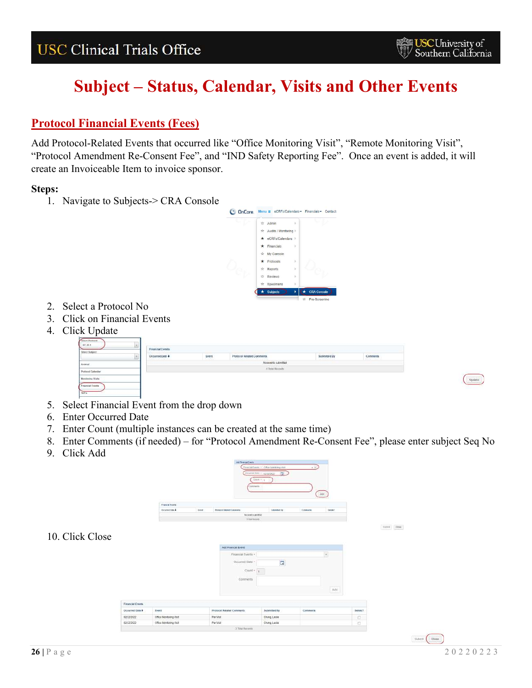### <span id="page-25-0"></span>**Protocol Financial Events (Fees)**

Add Protocol-Related Events that occurred like "Office Monitoring Visit", "Remote Monitoring Visit", "Protocol Amendment Re-Consent Fee", and "IND Safety Reporting Fee". Once an event is added, it will create an Invoiceable Item to invoice sponsor.

### **Steps:**

1. Navigate to Subjects-> CRA Console

![](_page_25_Picture_7.jpeg)

- 2. Select a Protocol No
- 3. Click on Financial Events
- 4. Click Update

![](_page_25_Figure_11.jpeg)

- 5. Select Financial Event from the drop down
- 6. Enter Occurred Date
- 7. Enter Count (multiple instances can be created at the same time)
- 8. Enter Comments (if needed) for "Protocol Amendment Re-Consent Fee", please enter subject Seq No
- 9. Click Add

|                 |                  |                         | <b>Jost Francis Event</b><br>Corenama     | Financial Everes, 1 - Office Annibology Vest<br>convertise: 1222002<br>Doors 1   4 | $+1$<br>[See                      |         |                                     |
|-----------------|------------------|-------------------------|-------------------------------------------|------------------------------------------------------------------------------------|-----------------------------------|---------|-------------------------------------|
|                 |                  | Palancial Excels        |                                           |                                                                                    |                                   |         |                                     |
|                 |                  | Occurred Gold &         | Protocol Balance Comments<br><b>Syene</b> | <b>Submitted Dat</b>                                                               | Comments:<br>Detekt               |         |                                     |
|                 |                  |                         | NO events submitted.                      |                                                                                    |                                   |         |                                     |
|                 |                  |                         | Il line Secondo                           |                                                                                    |                                   |         |                                     |
|                 |                  |                         |                                           |                                                                                    |                                   |         | $\mathit{tutve}$ . $\mathit{tttve}$ |
| 10. Click Close |                  |                         |                                           |                                                                                    |                                   |         |                                     |
|                 |                  |                         | Add Financial Events                      |                                                                                    |                                   |         |                                     |
|                 |                  |                         | Financial Events +                        |                                                                                    | $\left\vert \bullet\right\rangle$ |         |                                     |
|                 |                  |                         | Occurred Date -                           | $\Box$                                                                             |                                   |         |                                     |
|                 |                  |                         | Count +                                   |                                                                                    |                                   |         |                                     |
|                 |                  |                         | Comments                                  |                                                                                    |                                   |         |                                     |
|                 |                  |                         |                                           |                                                                                    |                                   |         |                                     |
|                 |                  |                         |                                           |                                                                                    | Add                               |         |                                     |
|                 |                  |                         |                                           |                                                                                    |                                   |         |                                     |
|                 | Financial Events |                         |                                           |                                                                                    |                                   |         |                                     |
|                 | Decumed Date +   | Event                   | Protocol Related Comments                 | Submitted By                                                                       | Comments                          | Delete? |                                     |
|                 | 02/22/2022       | Office Monitoring Visit | Per Vist                                  | Chung, Leslie                                                                      |                                   | $\Box$  |                                     |
|                 | 02/22/2022       | Office Monitoring Visit | Par Visit                                 | Chang, Leslie                                                                      |                                   | $\Box$  |                                     |
|                 |                  |                         | 2 Titul Records                           |                                                                                    |                                   |         |                                     |

 $\bigcup$  Update